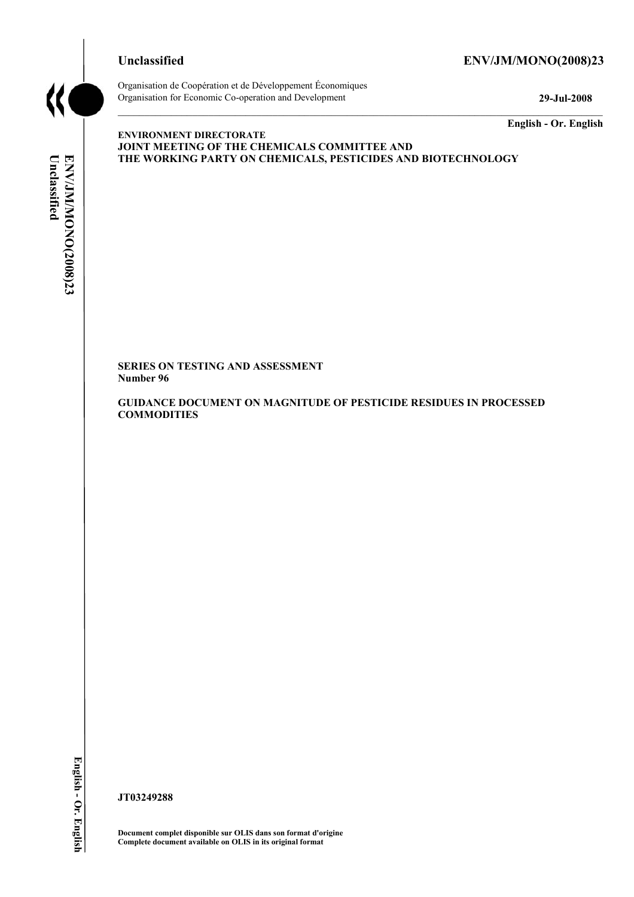

# **Unclassified ENV/JM/MONO(2008)23**



Organisation de Coopération et de Développement Économiques Organisation for Economic Co-operation and Development **29-Jul-2008** 

**English - Or. English** 

# Unclassified ENV/JM/MONO(2008)23 **Unclassified ENV/JM/MONO(2008)23 English - Or. English**

**ENVIRONMENT DIRECTORATE JOINT MEETING OF THE CHEMICALS COMMITTEE AND THE WORKING PARTY ON CHEMICALS, PESTICIDES AND BIOTECHNOLOGY** 

**SERIES ON TESTING AND ASSESSMENT Number 96** 

**GUIDANCE DOCUMENT ON MAGNITUDE OF PESTICIDE RESIDUES IN PROCESSED COMMODITIES** 

**JT03249288** 

**Document complet disponible sur OLIS dans son format d'origine Complete document available on OLIS in its original format**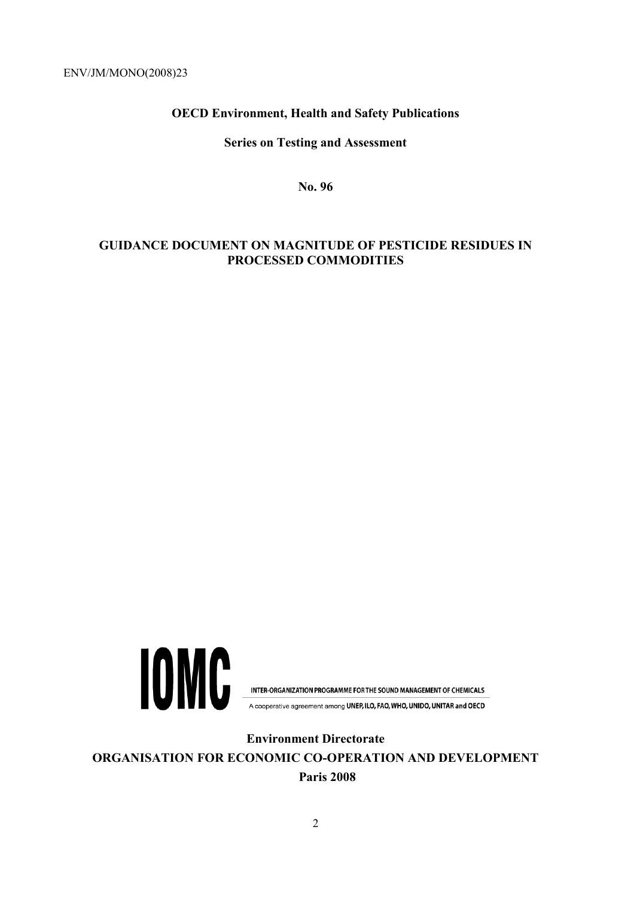### **OECD Environment, Health and Safety Publications**

#### **Series on Testing and Assessment**

**No. 96** 

#### **GUIDANCE DOCUMENT ON MAGNITUDE OF PESTICIDE RESIDUES IN PROCESSED COMMODITIES**



INTER-ORGANIZATION PROGRAMME FOR THE SOUND MANAGEMENT OF CHEMICALS

A cooperative agreement among UNEP, ILO, FAO, WHO, UNIDO, UNITAR and OECD

**Environment Directorate ORGANISATION FOR ECONOMIC CO-OPERATION AND DEVELOPMENT Paris 2008**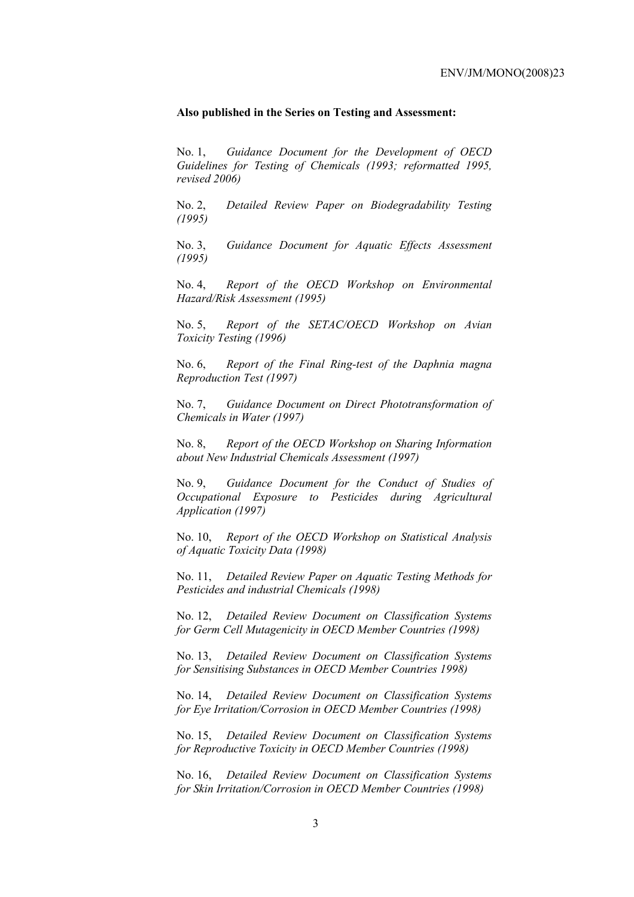#### **Also published in the Series on Testing and Assessment:**

No. 1, *Guidance Document for the Development of OECD Guidelines for Testing of Chemicals (1993; reformatted 1995, revised 2006)*

No. 2, *Detailed Review Paper on Biodegradability Testing (1995)*

No. 3, *Guidance Document for Aquatic Effects Assessment (1995)* 

No. 4, *Report of the OECD Workshop on Environmental Hazard/Risk Assessment (1995)*

No. 5, *Report of the SETAC/OECD Workshop on Avian Toxicity Testing (1996)*

No. 6, *Report of the Final Ring-test of the Daphnia magna Reproduction Test (1997)*

No. 7, *Guidance Document on Direct Phototransformation of Chemicals in Water (1997)* 

No. 8, *Report of the OECD Workshop on Sharing Information about New Industrial Chemicals Assessment (1997)*

No. 9, *Guidance Document for the Conduct of Studies of Occupational Exposure to Pesticides during Agricultural Application (1997)*

No. 10, *Report of the OECD Workshop on Statistical Analysis of Aquatic Toxicity Data (1998)*

No. 11, *Detailed Review Paper on Aquatic Testing Methods for Pesticides and industrial Chemicals (1998)*

No. 12, *Detailed Review Document on Classification Systems for Germ Cell Mutagenicity in OECD Member Countries (1998)*

No. 13, *Detailed Review Document on Classification Systems for Sensitising Substances in OECD Member Countries 1998)*

No. 14, *Detailed Review Document on Classification Systems for Eye Irritation/Corrosion in OECD Member Countries (1998)*

No. 15, *Detailed Review Document on Classification Systems for Reproductive Toxicity in OECD Member Countries (1998)*

No. 16, *Detailed Review Document on Classification Systems for Skin Irritation/Corrosion in OECD Member Countries (1998)*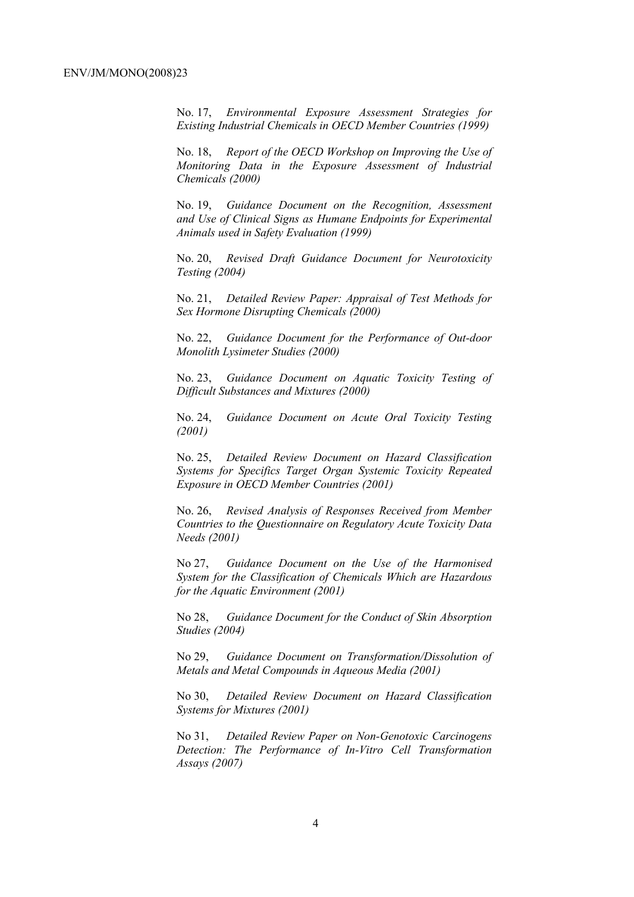No. 17, *Environmental Exposure Assessment Strategies for Existing Industrial Chemicals in OECD Member Countries (1999)*

No. 18, *Report of the OECD Workshop on Improving the Use of Monitoring Data in the Exposure Assessment of Industrial Chemicals (2000)*

No. 19, *Guidance Document on the Recognition, Assessment and Use of Clinical Signs as Humane Endpoints for Experimental Animals used in Safety Evaluation (1999)*

No. 20, *Revised Draft Guidance Document for Neurotoxicity Testing (2004)*

No. 21, *Detailed Review Paper: Appraisal of Test Methods for Sex Hormone Disrupting Chemicals (2000)*

No. 22, *Guidance Document for the Performance of Out-door Monolith Lysimeter Studies (2000)*

No. 23, *Guidance Document on Aquatic Toxicity Testing of Difficult Substances and Mixtures (2000)*

No. 24, *Guidance Document on Acute Oral Toxicity Testing (2001)*

No. 25, *Detailed Review Document on Hazard Classification Systems for Specifics Target Organ Systemic Toxicity Repeated Exposure in OECD Member Countries (2001)*

No. 26, *Revised Analysis of Responses Received from Member Countries to the Questionnaire on Regulatory Acute Toxicity Data Needs (2001)*

No 27, *Guidance Document on the Use of the Harmonised System for the Classification of Chemicals Which are Hazardous for the Aquatic Environment (2001)*

No 28, *Guidance Document for the Conduct of Skin Absorption Studies (2004)*

No 29, *Guidance Document on Transformation/Dissolution of Metals and Metal Compounds in Aqueous Media (2001)*

No 30, *Detailed Review Document on Hazard Classification Systems for Mixtures (2001)*

No 31, *Detailed Review Paper on Non-Genotoxic Carcinogens Detection: The Performance of In-Vitro Cell Transformation Assays (2007)*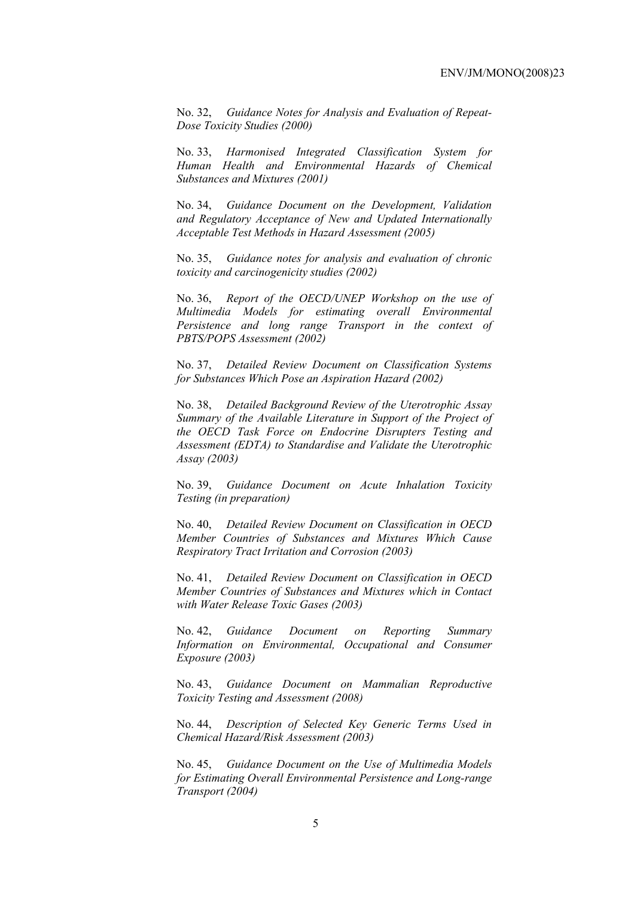No. 32, *Guidance Notes for Analysis and Evaluation of Repeat-Dose Toxicity Studies (2000)*

No. 33, *Harmonised Integrated Classification System for Human Health and Environmental Hazards of Chemical Substances and Mixtures (2001)*

No. 34, *Guidance Document on the Development, Validation and Regulatory Acceptance of New and Updated Internationally Acceptable Test Methods in Hazard Assessment (2005)*

No. 35, *Guidance notes for analysis and evaluation of chronic toxicity and carcinogenicity studies (2002)*

No. 36, *Report of the OECD/UNEP Workshop on the use of Multimedia Models for estimating overall Environmental Persistence and long range Transport in the context of PBTS/POPS Assessment (2002)*

No. 37, *Detailed Review Document on Classification Systems for Substances Which Pose an Aspiration Hazard (2002)*

No. 38, *Detailed Background Review of the Uterotrophic Assay Summary of the Available Literature in Support of the Project of the OECD Task Force on Endocrine Disrupters Testing and Assessment (EDTA) to Standardise and Validate the Uterotrophic Assay (2003)*

No. 39, *Guidance Document on Acute Inhalation Toxicity Testing (in preparation)*

No. 40, *Detailed Review Document on Classification in OECD Member Countries of Substances and Mixtures Which Cause Respiratory Tract Irritation and Corrosion (2003)*

No. 41, *Detailed Review Document on Classification in OECD Member Countries of Substances and Mixtures which in Contact with Water Release Toxic Gases (2003)*

No. 42, *Guidance Document on Reporting Summary Information on Environmental, Occupational and Consumer Exposure (2003)*

No. 43, *Guidance Document on Mammalian Reproductive Toxicity Testing and Assessment (2008)*

No. 44, *Description of Selected Key Generic Terms Used in Chemical Hazard/Risk Assessment (2003)* 

No. 45, *Guidance Document on the Use of Multimedia Models for Estimating Overall Environmental Persistence and Long-range Transport (2004)*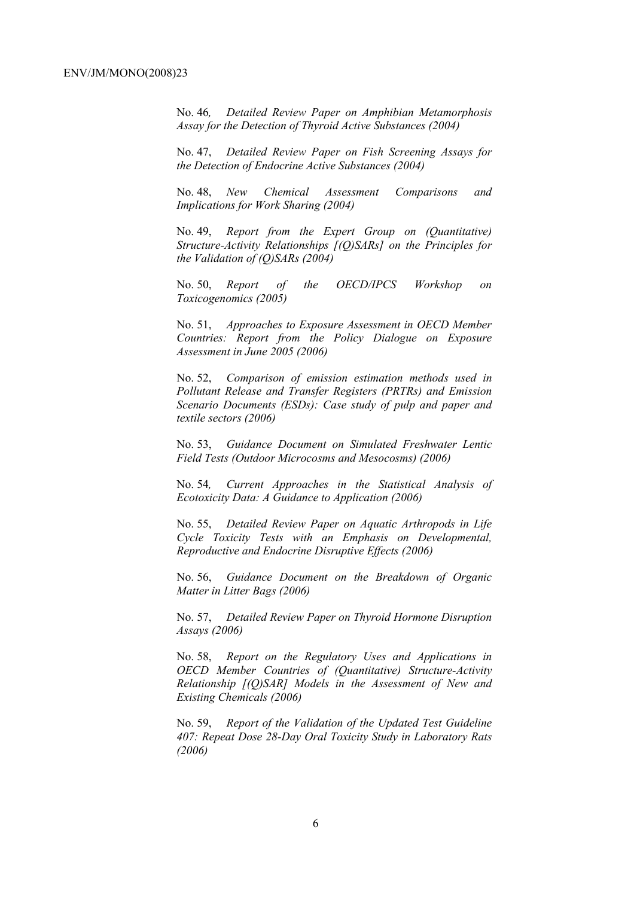No. 46*, Detailed Review Paper on Amphibian Metamorphosis Assay for the Detection of Thyroid Active Substances (2004)* 

No. 47, *Detailed Review Paper on Fish Screening Assays for the Detection of Endocrine Active Substances (2004)* 

No. 48, *New Chemical Assessment Comparisons and Implications for Work Sharing (2004)* 

No. 49, *Report from the Expert Group on (Quantitative) Structure-Activity Relationships [(Q)SARs] on the Principles for the Validation of (Q)SARs (2004)* 

No. 50, *Report of the OECD/IPCS Workshop on Toxicogenomics (2005)* 

No. 51, *Approaches to Exposure Assessment in OECD Member Countries: Report from the Policy Dialogue on Exposure Assessment in June 2005 (2006)* 

No. 52, *Comparison of emission estimation methods used in Pollutant Release and Transfer Registers (PRTRs) and Emission Scenario Documents (ESDs): Case study of pulp and paper and textile sectors (2006)* 

No. 53, *Guidance Document on Simulated Freshwater Lentic Field Tests (Outdoor Microcosms and Mesocosms) (2006)* 

No. 54*, Current Approaches in the Statistical Analysis of Ecotoxicity Data: A Guidance to Application (2006)* 

No. 55, *Detailed Review Paper on Aquatic Arthropods in Life Cycle Toxicity Tests with an Emphasis on Developmental, Reproductive and Endocrine Disruptive Effects (2006)* 

No. 56, *Guidance Document on the Breakdown of Organic Matter in Litter Bags (2006)* 

No. 57, *Detailed Review Paper on Thyroid Hormone Disruption Assays (2006)* 

No. 58, *Report on the Regulatory Uses and Applications in OECD Member Countries of (Quantitative) Structure-Activity Relationship [(Q)SAR] Models in the Assessment of New and Existing Chemicals (2006)* 

No. 59, *Report of the Validation of the Updated Test Guideline 407: Repeat Dose 28-Day Oral Toxicity Study in Laboratory Rats (2006)*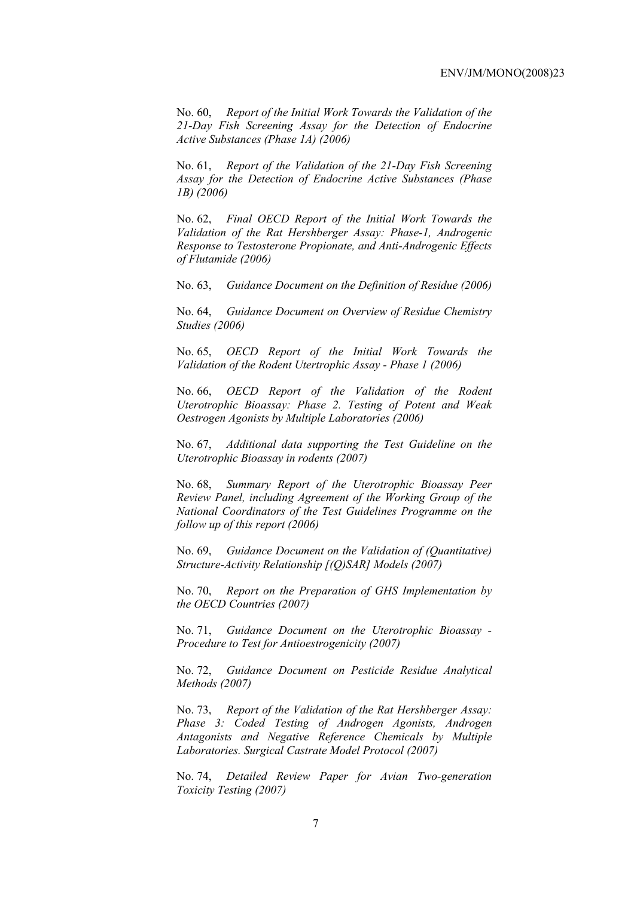No. 60, *Report of the Initial Work Towards the Validation of the 21-Day Fish Screening Assay for the Detection of Endocrine Active Substances (Phase 1A) (2006)* 

No. 61, *Report of the Validation of the 21-Day Fish Screening Assay for the Detection of Endocrine Active Substances (Phase 1B) (2006)* 

No. 62, *Final OECD Report of the Initial Work Towards the Validation of the Rat Hershberger Assay: Phase-1, Androgenic Response to Testosterone Propionate, and Anti-Androgenic Effects of Flutamide (2006)* 

No. 63, *Guidance Document on the Definition of Residue (2006)* 

No. 64, *Guidance Document on Overview of Residue Chemistry Studies (2006)* 

No. 65, *OECD Report of the Initial Work Towards the Validation of the Rodent Utertrophic Assay - Phase 1 (2006)* 

No. 66, *OECD Report of the Validation of the Rodent Uterotrophic Bioassay: Phase 2. Testing of Potent and Weak Oestrogen Agonists by Multiple Laboratories (2006)* 

No. 67, *Additional data supporting the Test Guideline on the Uterotrophic Bioassay in rodents (2007)* 

No. 68, *Summary Report of the Uterotrophic Bioassay Peer Review Panel, including Agreement of the Working Group of the National Coordinators of the Test Guidelines Programme on the follow up of this report (2006)* 

No. 69, *Guidance Document on the Validation of (Quantitative) Structure-Activity Relationship [(Q)SAR] Models (2007)* 

No. 70, *Report on the Preparation of GHS Implementation by the OECD Countries (2007)*

No. 71, *Guidance Document on the Uterotrophic Bioassay - Procedure to Test for Antioestrogenicity (2007)*

No. 72, *Guidance Document on Pesticide Residue Analytical Methods (2007)* 

No. 73, *Report of the Validation of the Rat Hershberger Assay: Phase 3: Coded Testing of Androgen Agonists, Androgen Antagonists and Negative Reference Chemicals by Multiple Laboratories. Surgical Castrate Model Protocol (2007)* 

No. 74, *Detailed Review Paper for Avian Two-generation Toxicity Testing (2007)*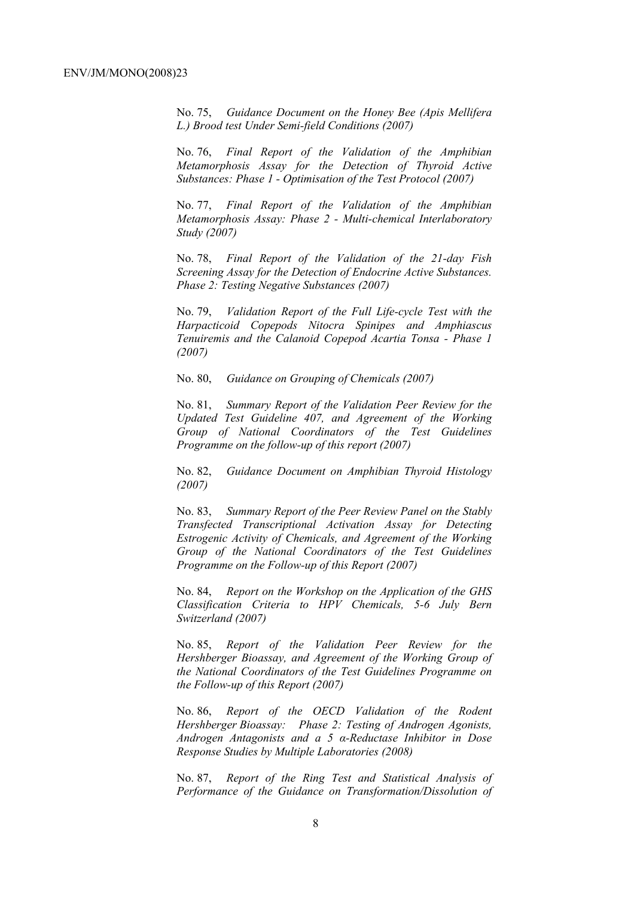No. 75, *Guidance Document on the Honey Bee (Apis Mellifera L.) Brood test Under Semi-field Conditions (2007)* 

No. 76, *Final Report of the Validation of the Amphibian Metamorphosis Assay for the Detection of Thyroid Active Substances: Phase 1 - Optimisation of the Test Protocol (2007)* 

No. 77, *Final Report of the Validation of the Amphibian Metamorphosis Assay: Phase 2 - Multi-chemical Interlaboratory Study (2007)* 

No. 78, *Final Report of the Validation of the 21-day Fish Screening Assay for the Detection of Endocrine Active Substances. Phase 2: Testing Negative Substances (2007)* 

No. 79, *Validation Report of the Full Life-cycle Test with the Harpacticoid Copepods Nitocra Spinipes and Amphiascus Tenuiremis and the Calanoid Copepod Acartia Tonsa - Phase 1 (2007)* 

No. 80, *Guidance on Grouping of Chemicals (2007)* 

No. 81, *Summary Report of the Validation Peer Review for the Updated Test Guideline 407, and Agreement of the Working Group of National Coordinators of the Test Guidelines Programme on the follow-up of this report (2007)* 

No. 82, *Guidance Document on Amphibian Thyroid Histology (2007)* 

No. 83, *Summary Report of the Peer Review Panel on the Stably Transfected Transcriptional Activation Assay for Detecting Estrogenic Activity of Chemicals, and Agreement of the Working Group of the National Coordinators of the Test Guidelines Programme on the Follow-up of this Report (2007)* 

No. 84, *Report on the Workshop on the Application of the GHS Classification Criteria to HPV Chemicals, 5-6 July Bern Switzerland (2007)* 

No. 85, *Report of the Validation Peer Review for the Hershberger Bioassay, and Agreement of the Working Group of the National Coordinators of the Test Guidelines Programme on the Follow-up of this Report (2007)* 

No. 86, *Report of the OECD Validation of the Rodent Hershberger Bioassay: Phase 2: Testing of Androgen Agonists, Androgen Antagonists and a 5 α-Reductase Inhibitor in Dose Response Studies by Multiple Laboratories (2008)*

No. 87, *Report of the Ring Test and Statistical Analysis of Performance of the Guidance on Transformation/Dissolution of*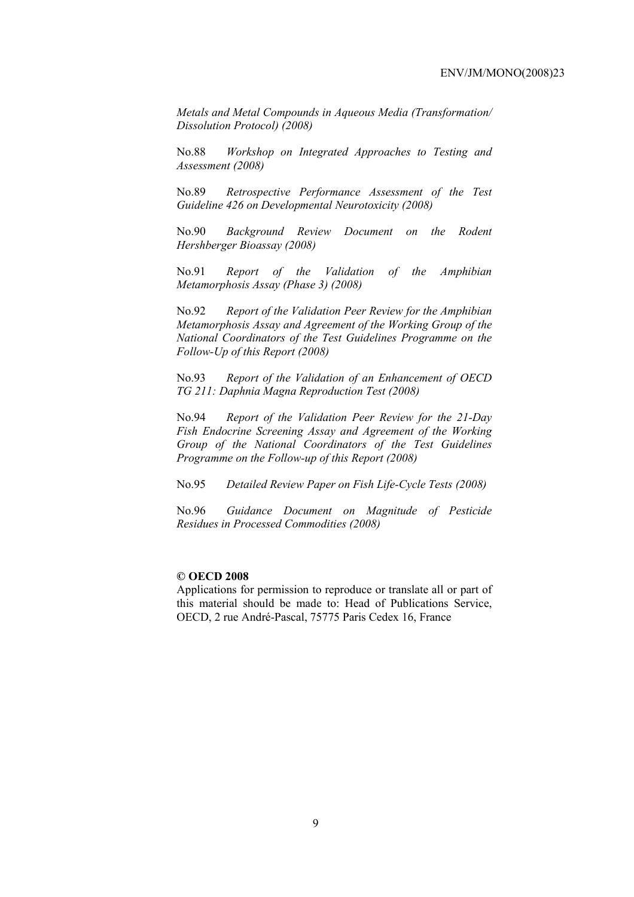*Metals and Metal Compounds in Aqueous Media (Transformation/ Dissolution Protocol) (2008)*

No.88 *Workshop on Integrated Approaches to Testing and Assessment (2008)* 

No.89 *Retrospective Performance Assessment of the Test Guideline 426 on Developmental Neurotoxicity (2008)* 

No.90 *Background Review Document on the Rodent Hershberger Bioassay (2008)* 

No.91 *Report of the Validation of the Amphibian Metamorphosis Assay (Phase 3) (2008)* 

No.92 *Report of the Validation Peer Review for the Amphibian Metamorphosis Assay and Agreement of the Working Group of the National Coordinators of the Test Guidelines Programme on the Follow-Up of this Report (2008)* 

No.93 *Report of the Validation of an Enhancement of OECD TG 211: Daphnia Magna Reproduction Test (2008)* 

No.94 *Report of the Validation Peer Review for the 21-Day Fish Endocrine Screening Assay and Agreement of the Working Group of the National Coordinators of the Test Guidelines Programme on the Follow-up of this Report (2008)* 

No.95 *Detailed Review Paper on Fish Life-Cycle Tests (2008)* 

No.96 *Guidance Document on Magnitude of Pesticide Residues in Processed Commodities (2008)* 

#### **© OECD 2008**

Applications for permission to reproduce or translate all or part of this material should be made to: Head of Publications Service, OECD, 2 rue André-Pascal, 75775 Paris Cedex 16, France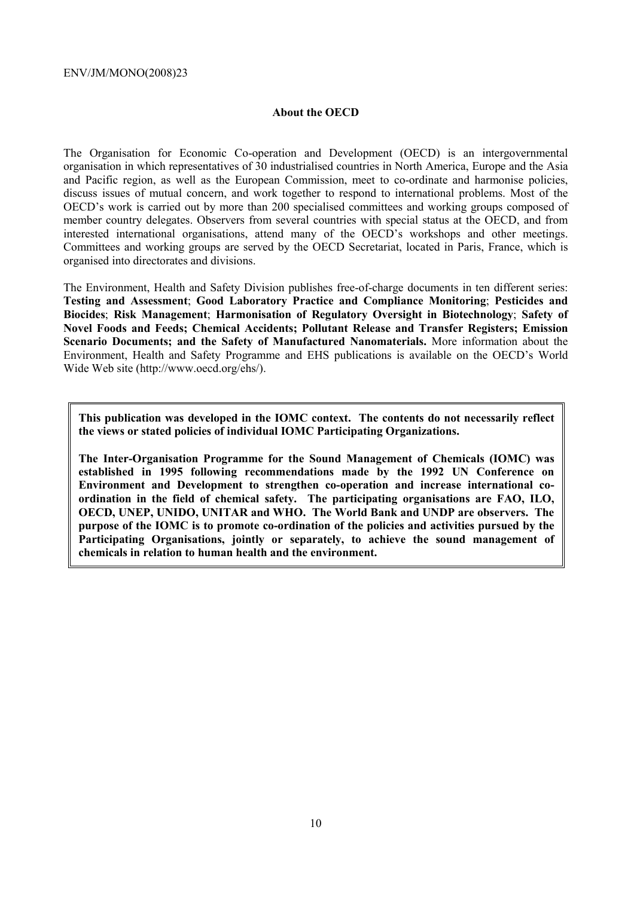#### **About the OECD**

The Organisation for Economic Co-operation and Development (OECD) is an intergovernmental organisation in which representatives of 30 industrialised countries in North America, Europe and the Asia and Pacific region, as well as the European Commission, meet to co-ordinate and harmonise policies, discuss issues of mutual concern, and work together to respond to international problems. Most of the OECD's work is carried out by more than 200 specialised committees and working groups composed of member country delegates. Observers from several countries with special status at the OECD, and from interested international organisations, attend many of the OECD's workshops and other meetings. Committees and working groups are served by the OECD Secretariat, located in Paris, France, which is organised into directorates and divisions.

The Environment, Health and Safety Division publishes free-of-charge documents in ten different series: **Testing and Assessment**; **Good Laboratory Practice and Compliance Monitoring**; **Pesticides and Biocides**; **Risk Management**; **Harmonisation of Regulatory Oversight in Biotechnology**; **Safety of Novel Foods and Feeds; Chemical Accidents; Pollutant Release and Transfer Registers; Emission Scenario Documents; and the Safety of Manufactured Nanomaterials.** More information about the Environment, Health and Safety Programme and EHS publications is available on the OECD's World Wide Web site (http://www.oecd.org/ehs/).

**This publication was developed in the IOMC context. The contents do not necessarily reflect the views or stated policies of individual IOMC Participating Organizations.** 

**The Inter-Organisation Programme for the Sound Management of Chemicals (IOMC) was established in 1995 following recommendations made by the 1992 UN Conference on Environment and Development to strengthen co-operation and increase international coordination in the field of chemical safety. The participating organisations are FAO, ILO, OECD, UNEP, UNIDO, UNITAR and WHO. The World Bank and UNDP are observers. The purpose of the IOMC is to promote co-ordination of the policies and activities pursued by the Participating Organisations, jointly or separately, to achieve the sound management of chemicals in relation to human health and the environment.**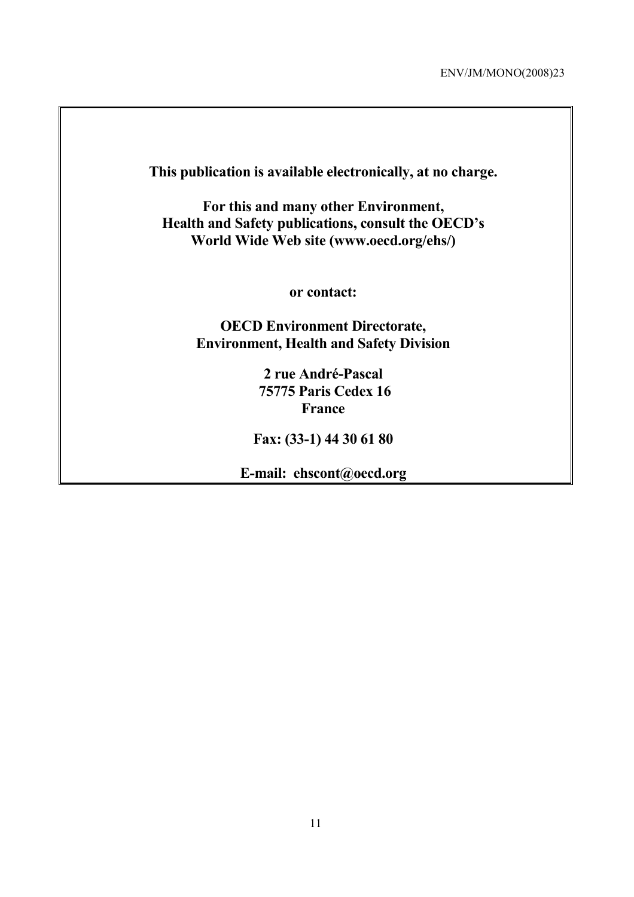**This publication is available electronically, at no charge. For this and many other Environment, Health and Safety publications, consult the OECD's World Wide Web site (www.oecd.org/ehs/) or contact: OECD Environment Directorate, Environment, Health and Safety Division 2 rue André-Pascal 75775 Paris Cedex 16 France Fax: (33-1) 44 30 61 80** 

**E-mail: ehscont@oecd.org**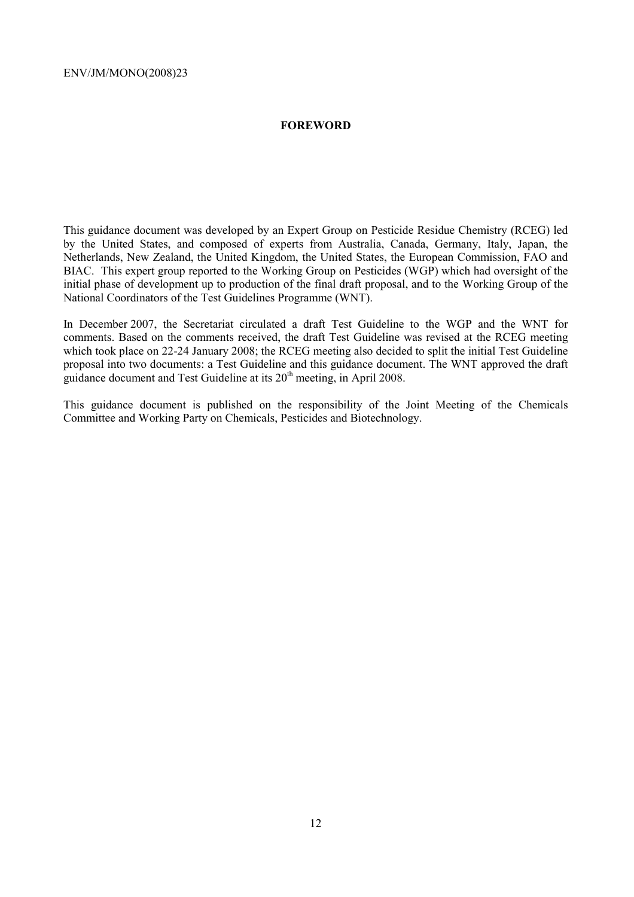#### **FOREWORD**

This guidance document was developed by an Expert Group on Pesticide Residue Chemistry (RCEG) led by the United States, and composed of experts from Australia, Canada, Germany, Italy, Japan, the Netherlands, New Zealand, the United Kingdom, the United States, the European Commission, FAO and BIAC. This expert group reported to the Working Group on Pesticides (WGP) which had oversight of the initial phase of development up to production of the final draft proposal, and to the Working Group of the National Coordinators of the Test Guidelines Programme (WNT).

In December 2007, the Secretariat circulated a draft Test Guideline to the WGP and the WNT for comments. Based on the comments received, the draft Test Guideline was revised at the RCEG meeting which took place on 22-24 January 2008; the RCEG meeting also decided to split the initial Test Guideline proposal into two documents: a Test Guideline and this guidance document. The WNT approved the draft guidance document and Test Guideline at its 20<sup>th</sup> meeting, in April 2008.

This guidance document is published on the responsibility of the Joint Meeting of the Chemicals Committee and Working Party on Chemicals, Pesticides and Biotechnology.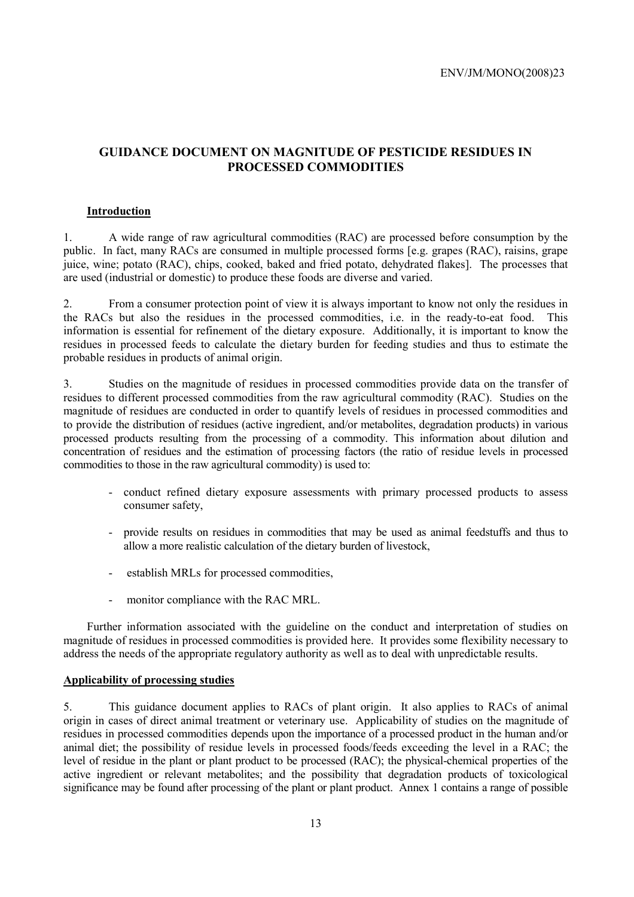#### **GUIDANCE DOCUMENT ON MAGNITUDE OF PESTICIDE RESIDUES IN PROCESSED COMMODITIES**

#### **Introduction**

1. A wide range of raw agricultural commodities (RAC) are processed before consumption by the public. In fact, many RACs are consumed in multiple processed forms [e.g. grapes (RAC), raisins, grape juice, wine; potato (RAC), chips, cooked, baked and fried potato, dehydrated flakes]. The processes that are used (industrial or domestic) to produce these foods are diverse and varied.

2. From a consumer protection point of view it is always important to know not only the residues in the RACs but also the residues in the processed commodities, i.e. in the ready-to-eat food. This information is essential for refinement of the dietary exposure. Additionally, it is important to know the residues in processed feeds to calculate the dietary burden for feeding studies and thus to estimate the probable residues in products of animal origin.

3. Studies on the magnitude of residues in processed commodities provide data on the transfer of residues to different processed commodities from the raw agricultural commodity (RAC). Studies on the magnitude of residues are conducted in order to quantify levels of residues in processed commodities and to provide the distribution of residues (active ingredient, and/or metabolites, degradation products) in various processed products resulting from the processing of a commodity. This information about dilution and concentration of residues and the estimation of processing factors (the ratio of residue levels in processed commodities to those in the raw agricultural commodity) is used to:

- conduct refined dietary exposure assessments with primary processed products to assess consumer safety,
- provide results on residues in commodities that may be used as animal feedstuffs and thus to allow a more realistic calculation of the dietary burden of livestock,
- establish MRLs for processed commodities,
- monitor compliance with the RAC MRL.

Further information associated with the guideline on the conduct and interpretation of studies on magnitude of residues in processed commodities is provided here. It provides some flexibility necessary to address the needs of the appropriate regulatory authority as well as to deal with unpredictable results.

#### **Applicability of processing studies**

5. This guidance document applies to RACs of plant origin. It also applies to RACs of animal origin in cases of direct animal treatment or veterinary use. Applicability of studies on the magnitude of residues in processed commodities depends upon the importance of a processed product in the human and/or animal diet; the possibility of residue levels in processed foods/feeds exceeding the level in a RAC; the level of residue in the plant or plant product to be processed (RAC); the physical-chemical properties of the active ingredient or relevant metabolites; and the possibility that degradation products of toxicological significance may be found after processing of the plant or plant product. Annex 1 contains a range of possible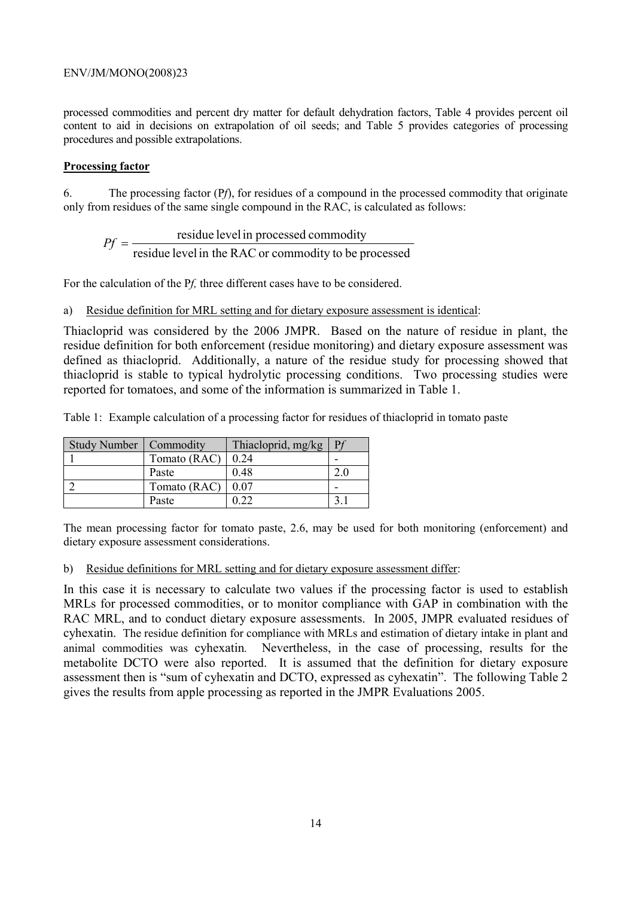processed commodities and percent dry matter for default dehydration factors, Table 4 provides percent oil content to aid in decisions on extrapolation of oil seeds; and Table 5 provides categories of processing procedures and possible extrapolations.

#### **Processing factor**

6. The processing factor (P*f*), for residues of a compound in the processed commodity that originate only from residues of the same single compound in the RAC, is calculated as follows:

$$
Pf = \frac{\text{residue level in processed commodity}}{\text{residue level in the RAC or commodity to be processed}}
$$

For the calculation of the P*f,* three different cases have to be considered.

#### a) Residue definition for MRL setting and for dietary exposure assessment is identical:

Thiacloprid was considered by the 2006 JMPR. Based on the nature of residue in plant, the residue definition for both enforcement (residue monitoring) and dietary exposure assessment was defined as thiacloprid. Additionally, a nature of the residue study for processing showed that thiacloprid is stable to typical hydrolytic processing conditions. Two processing studies were reported for tomatoes, and some of the information is summarized in Table 1.

Table 1: Example calculation of a processing factor for residues of thiacloprid in tomato paste

| Study Number   Commodity |              | Thiacloprid, mg/kg | $\mathbf{p}$ |
|--------------------------|--------------|--------------------|--------------|
|                          | Tomato (RAC) | 0.24               |              |
|                          | Paste        | 0.48               |              |
|                          | Tomato (RAC) | 0.07               |              |
|                          | Paste        |                    |              |

The mean processing factor for tomato paste, 2.6, may be used for both monitoring (enforcement) and dietary exposure assessment considerations.

#### b) Residue definitions for MRL setting and for dietary exposure assessment differ:

In this case it is necessary to calculate two values if the processing factor is used to establish MRLs for processed commodities, or to monitor compliance with GAP in combination with the RAC MRL, and to conduct dietary exposure assessments. In 2005, JMPR evaluated residues of cyhexatin. The residue definition for compliance with MRLs and estimation of dietary intake in plant and animal commodities was cyhexatin*.* Nevertheless, in the case of processing, results for the metabolite DCTO were also reported. It is assumed that the definition for dietary exposure assessment then is "sum of cyhexatin and DCTO, expressed as cyhexatin". The following Table 2 gives the results from apple processing as reported in the JMPR Evaluations 2005.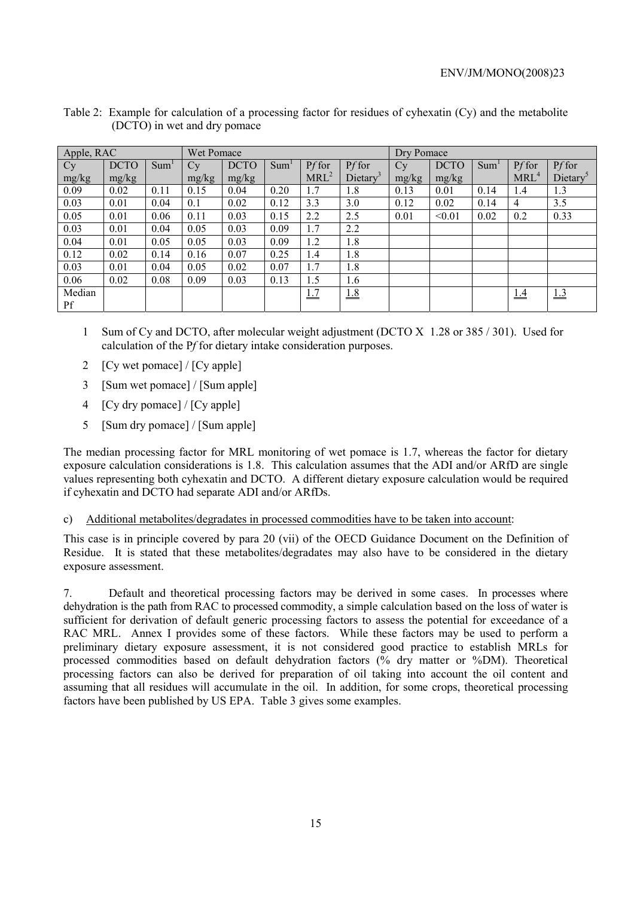| Apple, RAC |             |                  | Wet Pomace |             |                  |                  |                      | Dry Pomace |             |                  |                  |         |
|------------|-------------|------------------|------------|-------------|------------------|------------------|----------------------|------------|-------------|------------------|------------------|---------|
| Cy         | <b>DCTO</b> | Sum <sup>1</sup> | Cy         | <b>DCTO</b> | Sum <sup>1</sup> | Pf for           | Pf for               | $C_{V}$    | <b>DCTO</b> | Sum <sup>1</sup> | Pf for           | Pf for  |
| mg/kg      | mg/kg       |                  | mg/kg      | mg/kg       |                  | MRL <sup>2</sup> | Dietary <sup>3</sup> | mg/kg      | mg/kg       |                  | MRL <sup>4</sup> | Dietary |
| 0.09       | 0.02        | 0.11             | 0.15       | 0.04        | 0.20             | 1.7              | 1.8                  | 0.13       | 0.01        | 0.14             | 1.4              | 1.3     |
| 0.03       | 0.01        | 0.04             | 0.1        | 0.02        | 0.12             | 3.3              | 3.0                  | 0.12       | 0.02        | 0.14             | $\overline{4}$   | 3.5     |
| 0.05       | 0.01        | 0.06             | 0.11       | 0.03        | 0.15             | 2.2              | 2.5                  | 0.01       | < 0.01      | 0.02             | 0.2              | 0.33    |
| 0.03       | 0.01        | 0.04             | 0.05       | 0.03        | 0.09             | 1.7              | 2.2                  |            |             |                  |                  |         |
| 0.04       | 0.01        | 0.05             | 0.05       | 0.03        | 0.09             | 1.2              | 1.8                  |            |             |                  |                  |         |
| 0.12       | 0.02        | 0.14             | 0.16       | 0.07        | 0.25             | 1.4              | 1.8                  |            |             |                  |                  |         |
| 0.03       | 0.01        | 0.04             | 0.05       | 0.02        | 0.07             | 1.7              | 1.8                  |            |             |                  |                  |         |
| 0.06       | 0.02        | 0.08             | 0.09       | 0.03        | 0.13             | 1.5              | 1.6                  |            |             |                  |                  |         |
| Median     |             |                  |            |             |                  | 1.7              | 1.8                  |            |             |                  | 1.4              | 1.3     |
| Pf         |             |                  |            |             |                  |                  |                      |            |             |                  |                  |         |

| Table 2: Example for calculation of a processing factor for residues of cyhexatin (Cy) and the metabolite |
|-----------------------------------------------------------------------------------------------------------|
| (DCTO) in wet and dry pomace                                                                              |

- 1 Sum of Cy and DCTO, after molecular weight adjustment (DCTO X 1.28 or 385 / 301). Used for calculation of the P*f* for dietary intake consideration purposes.
- 2 [Cy wet pomace] / [Cy apple]
- 3 [Sum wet pomace] / [Sum apple]
- 4 [Cy dry pomace] / [Cy apple]
- 5 [Sum dry pomace] / [Sum apple]

The median processing factor for MRL monitoring of wet pomace is 1.7, whereas the factor for dietary exposure calculation considerations is 1.8. This calculation assumes that the ADI and/or ARfD are single values representing both cyhexatin and DCTO. A different dietary exposure calculation would be required if cyhexatin and DCTO had separate ADI and/or ARfDs.

c) Additional metabolites/degradates in processed commodities have to be taken into account:

This case is in principle covered by para 20 (vii) of the OECD Guidance Document on the Definition of Residue. It is stated that these metabolites/degradates may also have to be considered in the dietary exposure assessment.

7. Default and theoretical processing factors may be derived in some cases. In processes where dehydration is the path from RAC to processed commodity, a simple calculation based on the loss of water is sufficient for derivation of default generic processing factors to assess the potential for exceedance of a RAC MRL. Annex I provides some of these factors. While these factors may be used to perform a preliminary dietary exposure assessment, it is not considered good practice to establish MRLs for processed commodities based on default dehydration factors (% dry matter or %DM). Theoretical processing factors can also be derived for preparation of oil taking into account the oil content and assuming that all residues will accumulate in the oil. In addition, for some crops, theoretical processing factors have been published by US EPA. Table 3 gives some examples.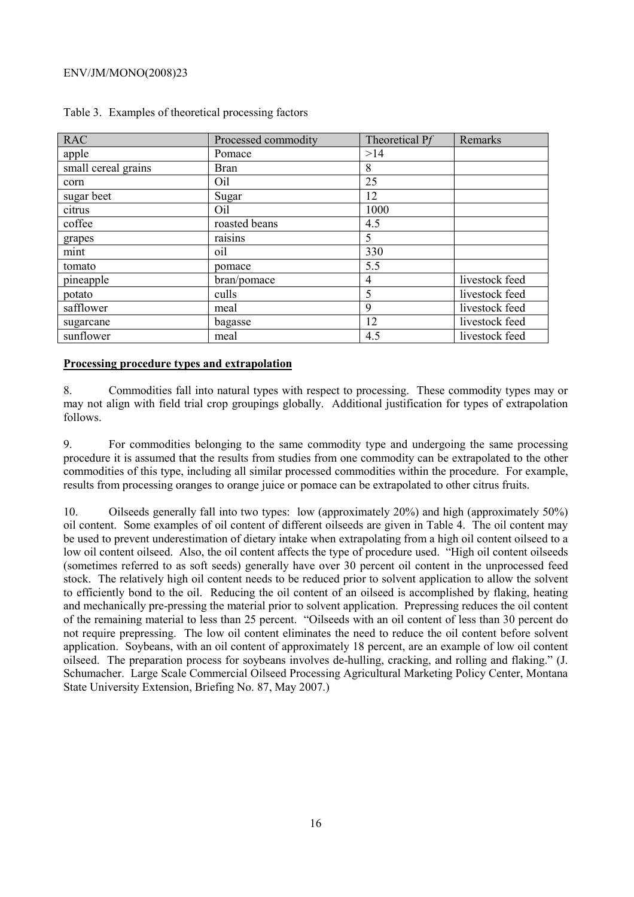| <b>RAC</b>          | Processed commodity | Theoretical Pf | Remarks        |
|---------------------|---------------------|----------------|----------------|
| apple               | Pomace              | >14            |                |
| small cereal grains | <b>Bran</b>         | 8              |                |
| corn                | Oil                 | 25             |                |
| sugar beet          | Sugar               | 12             |                |
| citrus              | Oil                 | 1000           |                |
| coffee              | roasted beans       | 4.5            |                |
| grapes              | raisins             | 5              |                |
| mint                | oil                 | 330            |                |
| tomato              | pomace              | 5.5            |                |
| pineapple           | bran/pomace         | 4              | livestock feed |
| potato              | culls               | 5              | livestock feed |
| safflower           | meal                | 9              | livestock feed |
| sugarcane           | bagasse             | 12             | livestock feed |
| sunflower           | meal                | 4.5            | livestock feed |

#### Table 3. Examples of theoretical processing factors

#### **Processing procedure types and extrapolation**

8. Commodities fall into natural types with respect to processing. These commodity types may or may not align with field trial crop groupings globally. Additional justification for types of extrapolation follows.

9. For commodities belonging to the same commodity type and undergoing the same processing procedure it is assumed that the results from studies from one commodity can be extrapolated to the other commodities of this type, including all similar processed commodities within the procedure. For example, results from processing oranges to orange juice or pomace can be extrapolated to other citrus fruits.

10. Oilseeds generally fall into two types: low (approximately 20%) and high (approximately 50%) oil content. Some examples of oil content of different oilseeds are given in Table 4. The oil content may be used to prevent underestimation of dietary intake when extrapolating from a high oil content oilseed to a low oil content oilseed. Also, the oil content affects the type of procedure used. "High oil content oilseeds (sometimes referred to as soft seeds) generally have over 30 percent oil content in the unprocessed feed stock. The relatively high oil content needs to be reduced prior to solvent application to allow the solvent to efficiently bond to the oil. Reducing the oil content of an oilseed is accomplished by flaking, heating and mechanically pre-pressing the material prior to solvent application. Prepressing reduces the oil content of the remaining material to less than 25 percent. "Oilseeds with an oil content of less than 30 percent do not require prepressing. The low oil content eliminates the need to reduce the oil content before solvent application. Soybeans, with an oil content of approximately 18 percent, are an example of low oil content oilseed. The preparation process for soybeans involves de-hulling, cracking, and rolling and flaking." (J. Schumacher. Large Scale Commercial Oilseed Processing Agricultural Marketing Policy Center, Montana State University Extension, Briefing No. 87, May 2007.)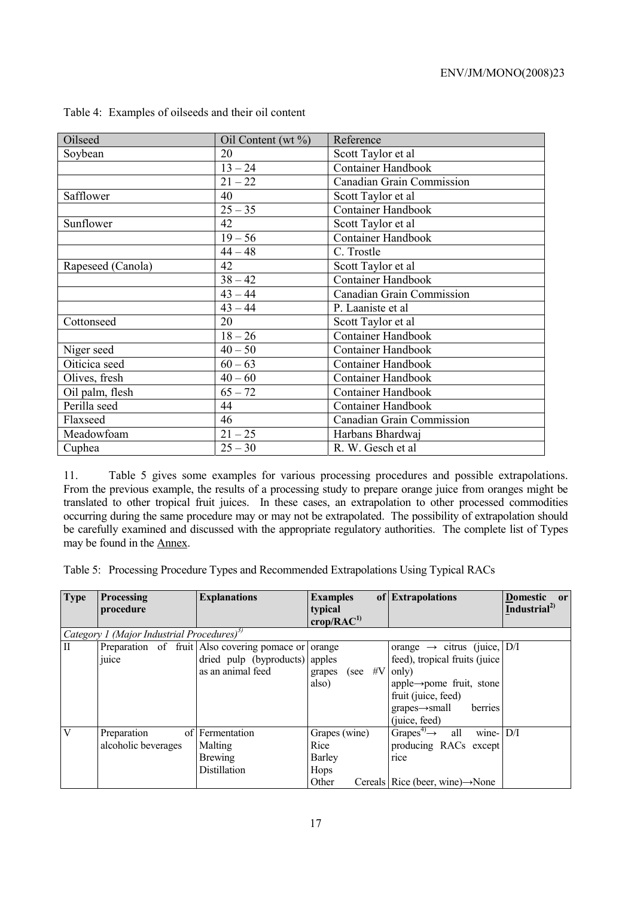| Oilseed           | Oil Content (wt $\%$ ) | Reference                        |
|-------------------|------------------------|----------------------------------|
| Soybean           | 20                     | Scott Taylor et al               |
|                   | $13 - 24$              | Container Handbook               |
|                   | $21 - 22$              | Canadian Grain Commission        |
| Safflower         | 40                     | Scott Taylor et al               |
|                   | $25 - 35$              | Container Handbook               |
| Sunflower         | 42                     | Scott Taylor et al               |
|                   | $19 - 56$              | Container Handbook               |
|                   | $44 - 48$              | C. Trostle                       |
| Rapeseed (Canola) | 42                     | Scott Taylor et al               |
|                   | $38 - 42$              | <b>Container Handbook</b>        |
|                   | $43 - 44$              | Canadian Grain Commission        |
|                   | $43 - 44$              | P. Laaniste et al                |
| Cottonseed        | 20                     | Scott Taylor et al               |
|                   | $18 - 26$              | <b>Container Handbook</b>        |
| Niger seed        | $40 - 50$              | Container Handbook               |
| Oiticica seed     | $60 - 63$              | <b>Container Handbook</b>        |
| Olives, fresh     | $40 - 60$              | <b>Container Handbook</b>        |
| Oil palm, flesh   | $65 - 72$              | <b>Container Handbook</b>        |
| Perilla seed      | 44                     | <b>Container Handbook</b>        |
| Flaxseed          | 46                     | <b>Canadian Grain Commission</b> |
| Meadowfoam        | $21 - 25$              | Harbans Bhardwaj                 |
| Cuphea            | $25 - 30$              | R. W. Gesch et al                |

|  |  |  | Table 4: Examples of oilseeds and their oil content |  |
|--|--|--|-----------------------------------------------------|--|
|--|--|--|-----------------------------------------------------|--|

11. Table 5 gives some examples for various processing procedures and possible extrapolations. From the previous example, the results of a processing study to prepare orange juice from oranges might be translated to other tropical fruit juices. In these cases, an extrapolation to other processed commodities occurring during the same procedure may or may not be extrapolated. The possibility of extrapolation should be carefully examined and discussed with the appropriate regulatory authorities. The complete list of Types may be found in the Annex.

Table 5: Processing Procedure Types and Recommended Extrapolations Using Typical RACs

| <b>Type</b>  | Processing                                             | <b>Explanations</b>                          | <b>Examples</b><br>of                   | <b>Extrapolations</b>                                 | <b>Domestic</b><br>or    |
|--------------|--------------------------------------------------------|----------------------------------------------|-----------------------------------------|-------------------------------------------------------|--------------------------|
|              | procedure                                              |                                              | typical<br>$\text{crop}/\text{RAC}^{1}$ |                                                       | Industrial <sup>2)</sup> |
|              | Category 1 (Major Industrial Procedures) <sup>3)</sup> |                                              |                                         |                                                       |                          |
| $\mathbf{I}$ |                                                        | Preparation of fruit Also covering pomace or | orange                                  | orange $\rightarrow$ citrus (juice, D/I               |                          |
|              | juice                                                  | dried pulp (byproducts) apples               |                                         | feed), tropical fruits (juice                         |                          |
|              |                                                        | as an animal feed                            | grapes (see $#V$                        | only)                                                 |                          |
|              |                                                        |                                              | also)                                   | apple $\rightarrow$ pome fruit, stone                 |                          |
|              |                                                        |                                              |                                         | fruit (juice, feed)                                   |                          |
|              |                                                        |                                              |                                         | $grapes \rightarrow small$<br>berries                 |                          |
|              |                                                        |                                              |                                         | (juice, feed)                                         |                          |
| V            | Preparation                                            | of Fermentation                              | Grapes (wine)                           | Grapes <sup>4)</sup> $\rightarrow$ all<br>wine- $D/I$ |                          |
|              | alcoholic beverages                                    | Malting                                      | Rice                                    | producing RACs except                                 |                          |
|              |                                                        | <b>Brewing</b>                               | Barley                                  | rice                                                  |                          |
|              |                                                        | Distillation                                 | Hops                                    |                                                       |                          |
|              |                                                        |                                              | Other                                   | Cereals Rice (beer, wine) $\rightarrow$ None          |                          |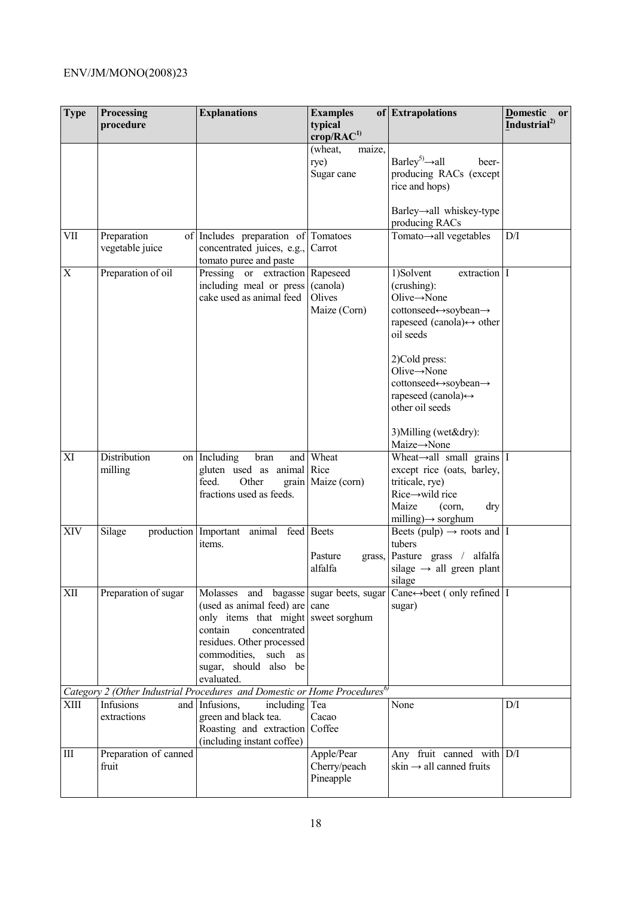| <b>Type</b> | <b>Processing</b><br>procedure | <b>Explanations</b>                                                                                                                                                                     | <b>Examples</b><br>typical<br>$\mathbf{crop} / \mathbf{RAC}^{1)}$ | of Extrapolations                                                                                                                                                                                                                                                                                                          | Domestic or<br>Industrial <sup>2)</sup> |
|-------------|--------------------------------|-----------------------------------------------------------------------------------------------------------------------------------------------------------------------------------------|-------------------------------------------------------------------|----------------------------------------------------------------------------------------------------------------------------------------------------------------------------------------------------------------------------------------------------------------------------------------------------------------------------|-----------------------------------------|
|             |                                |                                                                                                                                                                                         | (wheat,<br>maize,<br>rye)<br>Sugar cane                           | Barley <sup>5)</sup> $\rightarrow$ all<br>beer-<br>producing RACs (except<br>rice and hops)<br>Barley→all whiskey-type<br>producing RACs                                                                                                                                                                                   |                                         |
| <b>VII</b>  | Preparation<br>vegetable juice | of Includes preparation of Tomatoes<br>concentrated juices, e.g.,<br>tomato puree and paste                                                                                             | Carrot                                                            | Tomato→all vegetables                                                                                                                                                                                                                                                                                                      | $\overline{D/I}$                        |
| X           | Preparation of oil             | Pressing or extraction<br>including meal or press<br>cake used as animal feed                                                                                                           | Rapeseed<br>(canola)<br>Olives<br>Maize (Corn)                    | 1)Solvent<br>extraction I<br>(crushing):<br>Olive $\rightarrow$ None<br>cottonseed↔soybean→<br>rapeseed (canola) $\leftrightarrow$ other<br>oil seeds<br>2)Cold press:<br>Olive $\rightarrow$ None<br>cottonseed⇔soybean→<br>rapeseed (canola) $\leftrightarrow$<br>other oil seeds<br>3) Milling (wet&dry):<br>Maize→None |                                         |
| XI          | Distribution<br>milling        | on Including<br>bran<br>gluten used as animal Rice<br>feed.<br>Other<br>fractions used as feeds.                                                                                        | and Wheat<br>grain Maize (corn)                                   | Wheat $\rightarrow$ all small grains I<br>except rice (oats, barley,<br>triticale, rye)<br>$Rice \rightarrow$ wild rice<br>Maize<br>(corn,<br>dry<br>milling) $\rightarrow$ sorghum                                                                                                                                        |                                         |
| XIV         | Silage                         | production Important<br>animal feed Beets<br>items.                                                                                                                                     | Pasture<br>alfalfa                                                | Beets (pulp) $\rightarrow$ roots and I<br>tubers<br>grass, Pasture grass / alfalfa<br>silage $\rightarrow$ all green plant<br>silage                                                                                                                                                                                       |                                         |
| XII         | Preparation of sugar           | (used as animal feed) are<br>only items that might sweet sorghum<br>contain<br>concentrated<br>residues. Other processed<br>commodities, such as<br>sugar, should also be<br>evaluated. | cane                                                              | Molasses and bagasse sugar beets, sugar Cane $\leftrightarrow$ beet (only refined   I<br>sugar)                                                                                                                                                                                                                            |                                         |
|             |                                | Category 2 (Other Industrial Procedures and Domestic or Home Procedures <sup>6)</sup>                                                                                                   |                                                                   |                                                                                                                                                                                                                                                                                                                            |                                         |
| XIII        | Infusions<br>extractions       | and Infusions,<br>including Tea<br>green and black tea.<br>Roasting and extraction Coffee<br>(including instant coffee)                                                                 | Cacao                                                             | None                                                                                                                                                                                                                                                                                                                       | D/I                                     |
| III         | Preparation of canned<br>fruit |                                                                                                                                                                                         | Apple/Pear<br>Cherry/peach<br>Pineapple                           | Any fruit canned with D/I<br>skin $\rightarrow$ all canned fruits                                                                                                                                                                                                                                                          |                                         |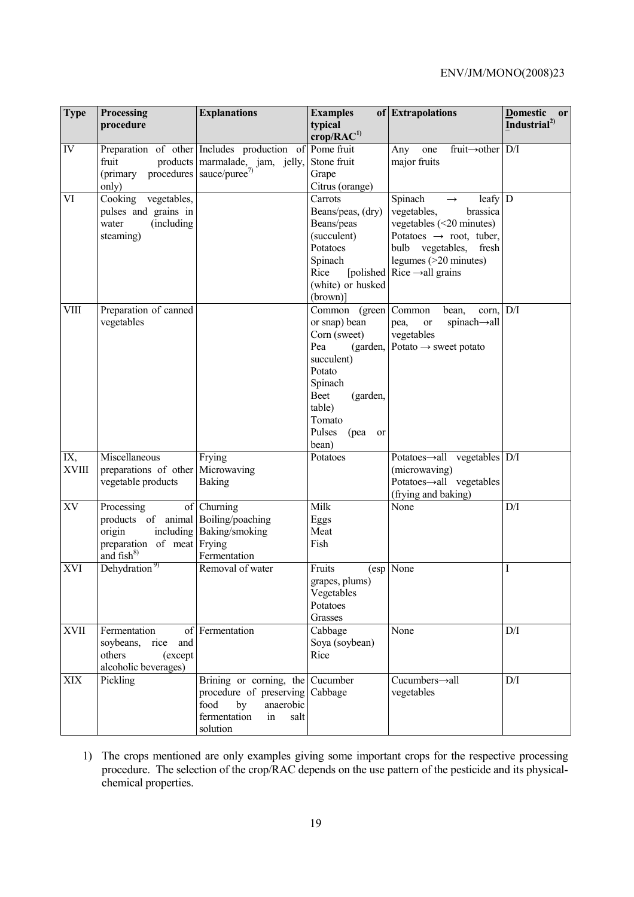| <b>Type</b>         | Processing<br>procedure                                                                                  | <b>Explanations</b>                                                                                                                      | <b>Examples</b><br>typical<br>$\mathbf{crop} / \mathbf{RAC}^{1)}$                                                                                                                 | of Extrapolations                                                                                                                                                                                                                 | <b>Domestic</b><br>or<br>Industrial <sup>2)</sup> |
|---------------------|----------------------------------------------------------------------------------------------------------|------------------------------------------------------------------------------------------------------------------------------------------|-----------------------------------------------------------------------------------------------------------------------------------------------------------------------------------|-----------------------------------------------------------------------------------------------------------------------------------------------------------------------------------------------------------------------------------|---------------------------------------------------|
| IV                  | fruit<br>procedures<br>(primary<br>only)                                                                 | Preparation of other Includes production of<br>products marmalade, jam, jelly,<br>sauce/puree <sup>7)</sup>                              | Pome fruit<br>Stone fruit<br>Grape<br>Citrus (orange)                                                                                                                             | Any<br>fruit $\rightarrow$ other   D/I<br>one<br>major fruits                                                                                                                                                                     |                                                   |
| VI                  | Cooking<br>vegetables,<br>pulses and grains in<br>(including<br>water<br>steaming)                       |                                                                                                                                          | Carrots<br>Beans/peas, (dry)<br>Beans/peas<br>(succulent)<br>Potatoes<br>Spinach<br>Rice<br>(white) or husked<br>$(brown)$ ]                                                      | Spinach<br>leafy D<br>$\rightarrow$<br>vegetables,<br>brassica<br>vegetables $(<20$ minutes)<br>Potatoes $\rightarrow$ root, tuber,<br>bulb vegetables, fresh<br>legumes (>20 minutes)<br>[polished Rice $\rightarrow$ all grains |                                                   |
| <b>VIII</b>         | Preparation of canned<br>vegetables                                                                      |                                                                                                                                          | Common (green Common<br>or snap) bean<br>Corn (sweet)<br>Pea<br>(garden,<br>succulent)<br>Potato<br>Spinach<br>Beet<br>(garden,<br>table)<br>Tomato<br>Pulses<br>(pea or<br>bean) | bean,<br>corn.<br>spinach-all<br>pea,<br>or<br>vegetables<br>Potato $\rightarrow$ sweet potato                                                                                                                                    | D/I                                               |
| IX,<br><b>XVIII</b> | Miscellaneous<br>preparations of other Microwaving<br>vegetable products                                 | Frying<br>Baking                                                                                                                         | Potatoes                                                                                                                                                                          | Potatoes $\rightarrow$ all vegetables D/I<br>(microwaving)<br>Potatoes-all vegetables<br>(frying and baking)                                                                                                                      |                                                   |
| XV                  | Processing<br>products of animal Boiling/poaching<br>origin<br>preparation of meat Frying<br>and $fish8$ | of Churning<br>including Baking/smoking<br>Fermentation                                                                                  | Milk<br>Eggs<br>Meat<br>Fish                                                                                                                                                      | None                                                                                                                                                                                                                              | D/I                                               |
| <b>XVI</b>          | Dehydration <sup>9)</sup>                                                                                | Removal of water                                                                                                                         | Fruits<br>grapes, plums)<br>Vegetables<br>Potatoes<br>Grasses                                                                                                                     | (esp None                                                                                                                                                                                                                         | 1                                                 |
| <b>XVII</b>         | Fermentation<br>soybeans, rice<br>and<br>others<br>(except<br>alcoholic beverages)                       | of Fermentation                                                                                                                          | Cabbage<br>Soya (soybean)<br>Rice                                                                                                                                                 | None                                                                                                                                                                                                                              | D/I                                               |
| XIX                 | Pickling                                                                                                 | Brining or corning, the Cucumber<br>procedure of preserving Cabbage<br>food<br>anaerobic<br>by<br>fermentation<br>in<br>salt<br>solution |                                                                                                                                                                                   | Cucumbers-all<br>vegetables                                                                                                                                                                                                       | $\mathrm{D}/\mathrm{I}$                           |

1) The crops mentioned are only examples giving some important crops for the respective processing procedure. The selection of the crop/RAC depends on the use pattern of the pesticide and its physicalchemical properties.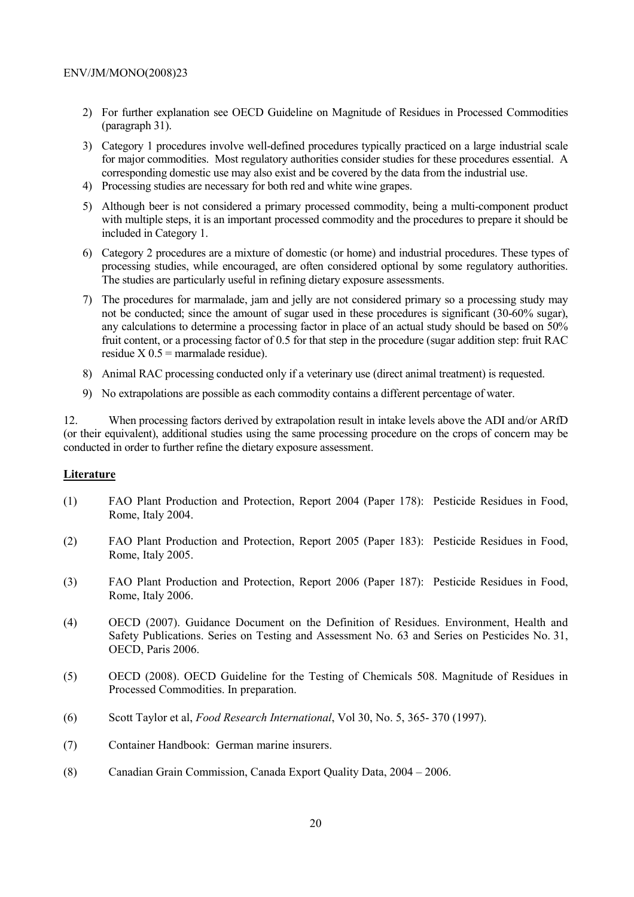- 2) For further explanation see OECD Guideline on Magnitude of Residues in Processed Commodities (paragraph 31).
- 3) Category 1 procedures involve well-defined procedures typically practiced on a large industrial scale for major commodities. Most regulatory authorities consider studies for these procedures essential. A corresponding domestic use may also exist and be covered by the data from the industrial use.
- 4) Processing studies are necessary for both red and white wine grapes.
- 5) Although beer is not considered a primary processed commodity, being a multi-component product with multiple steps, it is an important processed commodity and the procedures to prepare it should be included in Category 1.
- 6) Category 2 procedures are a mixture of domestic (or home) and industrial procedures. These types of processing studies, while encouraged, are often considered optional by some regulatory authorities. The studies are particularly useful in refining dietary exposure assessments.
- 7) The procedures for marmalade, jam and jelly are not considered primary so a processing study may not be conducted; since the amount of sugar used in these procedures is significant (30-60% sugar), any calculations to determine a processing factor in place of an actual study should be based on 50% fruit content, or a processing factor of 0.5 for that step in the procedure (sugar addition step: fruit RAC residue  $X$  0.5 = marmalade residue).
- 8) Animal RAC processing conducted only if a veterinary use (direct animal treatment) is requested.
- 9) No extrapolations are possible as each commodity contains a different percentage of water.

12. When processing factors derived by extrapolation result in intake levels above the ADI and/or ARfD (or their equivalent), additional studies using the same processing procedure on the crops of concern may be conducted in order to further refine the dietary exposure assessment.

#### **Literature**

- (1) FAO Plant Production and Protection, Report 2004 (Paper 178): Pesticide Residues in Food, Rome, Italy 2004.
- (2) FAO Plant Production and Protection, Report 2005 (Paper 183): Pesticide Residues in Food, Rome, Italy 2005.
- (3) FAO Plant Production and Protection, Report 2006 (Paper 187): Pesticide Residues in Food, Rome, Italy 2006.
- (4) OECD (2007). Guidance Document on the Definition of Residues. Environment, Health and Safety Publications. Series on Testing and Assessment No. 63 and Series on Pesticides No. 31, OECD, Paris 2006.
- (5) OECD (2008). OECD Guideline for the Testing of Chemicals 508. Magnitude of Residues in Processed Commodities. In preparation.
- (6) Scott Taylor et al, *Food Research International*, Vol 30, No. 5, 365- 370 (1997).
- (7) Container Handbook: German marine insurers.
- (8) Canadian Grain Commission, Canada Export Quality Data, 2004 2006.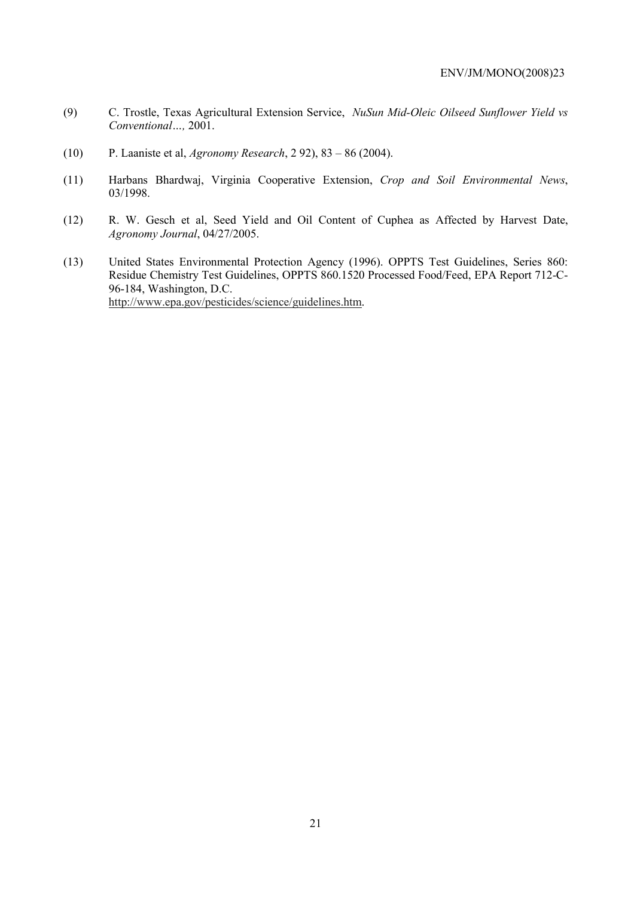- (9) C. Trostle, Texas Agricultural Extension Service, *NuSun Mid-Oleic Oilseed Sunflower Yield vs Conventional…,* 2001.
- (10) P. Laaniste et al, *Agronomy Research*, 2 92), 83 86 (2004).
- (11) Harbans Bhardwaj, Virginia Cooperative Extension, *Crop and Soil Environmental News*, 03/1998.
- (12) R. W. Gesch et al, Seed Yield and Oil Content of Cuphea as Affected by Harvest Date, *Agronomy Journal*, 04/27/2005.
- (13) United States Environmental Protection Agency (1996). OPPTS Test Guidelines, Series 860: Residue Chemistry Test Guidelines, OPPTS 860.1520 Processed Food/Feed, EPA Report 712-C-96-184, Washington, D.C. http://www.epa.gov/pesticides/science/guidelines.htm.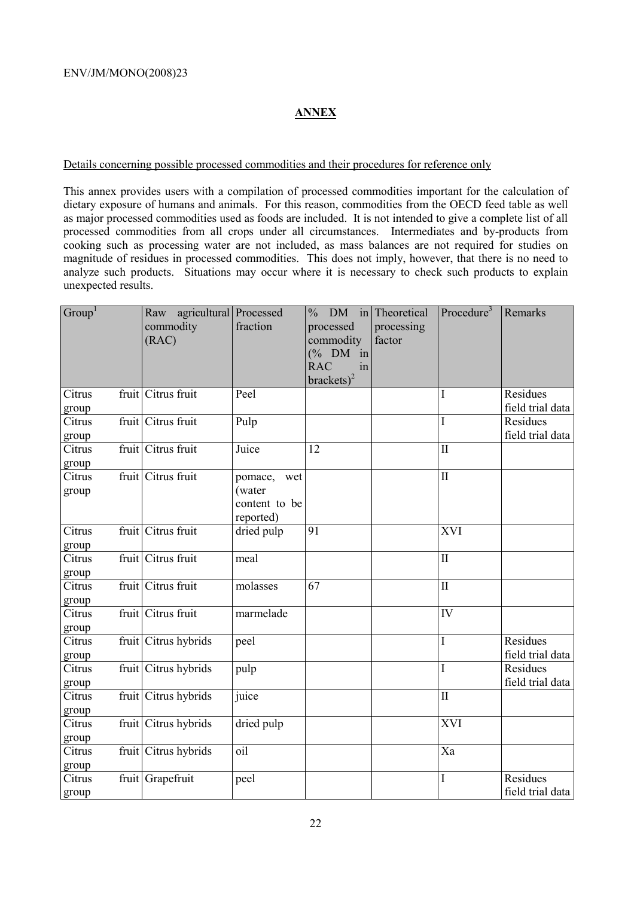#### **ANNEX**

#### Details concerning possible processed commodities and their procedures for reference only

This annex provides users with a compilation of processed commodities important for the calculation of dietary exposure of humans and animals. For this reason, commodities from the OECD feed table as well as major processed commodities used as foods are included. It is not intended to give a complete list of all processed commodities from all crops under all circumstances. Intermediates and by-products from cooking such as processing water are not included, as mass balances are not required for studies on magnitude of residues in processed commodities. This does not imply, however, that there is no need to analyze such products. Situations may occur where it is necessary to check such products to explain unexpected results.

| Group <sup>1</sup> | agricultural Processed<br>Raw<br>commodity<br>(RAC) | fraction                                               | <b>DM</b><br>$\frac{0}{0}$<br>in<br>processed<br>commodity<br>$(\%$ DM<br>in<br><b>RAC</b><br>in<br>brackets) <sup>2</sup> | Theoretical<br>processing<br>factor | Procedure <sup>3</sup> | Remarks                             |
|--------------------|-----------------------------------------------------|--------------------------------------------------------|----------------------------------------------------------------------------------------------------------------------------|-------------------------------------|------------------------|-------------------------------------|
| Citrus<br>group    | fruit Citrus fruit                                  | Peel                                                   |                                                                                                                            |                                     | I                      | <b>Residues</b><br>field trial data |
| Citrus<br>group    | fruit Citrus fruit                                  | Pulp                                                   |                                                                                                                            |                                     | I                      | Residues<br>field trial data        |
| Citrus<br>group    | fruit Citrus fruit                                  | Juice                                                  | $\overline{12}$                                                                                                            |                                     | $\overline{\rm II}$    |                                     |
| Citrus<br>group    | fruit Citrus fruit                                  | pomace,<br>wet<br>(water<br>content to be<br>reported) |                                                                                                                            |                                     | $\overline{\rm II}$    |                                     |
| Citrus<br>group    | fruit Citrus fruit                                  | dried pulp                                             | 91                                                                                                                         |                                     | <b>XVI</b>             |                                     |
| Citrus<br>group    | fruit Citrus fruit                                  | meal                                                   |                                                                                                                            |                                     | $\mathbf{I}$           |                                     |
| Citrus<br>group    | fruit Citrus fruit                                  | molasses                                               | 67                                                                                                                         |                                     | $\mathbf{I}$           |                                     |
| Citrus<br>group    | fruit Citrus fruit                                  | marmelade                                              |                                                                                                                            |                                     | IV                     |                                     |
| Citrus<br>group    | fruit Citrus hybrids                                | peel                                                   |                                                                                                                            |                                     | I                      | Residues<br>field trial data        |
| Citrus<br>group    | fruit Citrus hybrids                                | pulp                                                   |                                                                                                                            |                                     | I                      | Residues<br>field trial data        |
| Citrus<br>group    | fruit Citrus hybrids                                | juice                                                  |                                                                                                                            |                                     | $\overline{\rm II}$    |                                     |
| Citrus<br>group    | fruit Citrus hybrids                                | dried pulp                                             |                                                                                                                            |                                     | XVI                    |                                     |
| Citrus<br>group    | fruit Citrus hybrids                                | oil                                                    |                                                                                                                            |                                     | Xa                     |                                     |
| Citrus<br>group    | fruit Grapefruit                                    | peel                                                   |                                                                                                                            |                                     | I                      | Residues<br>field trial data        |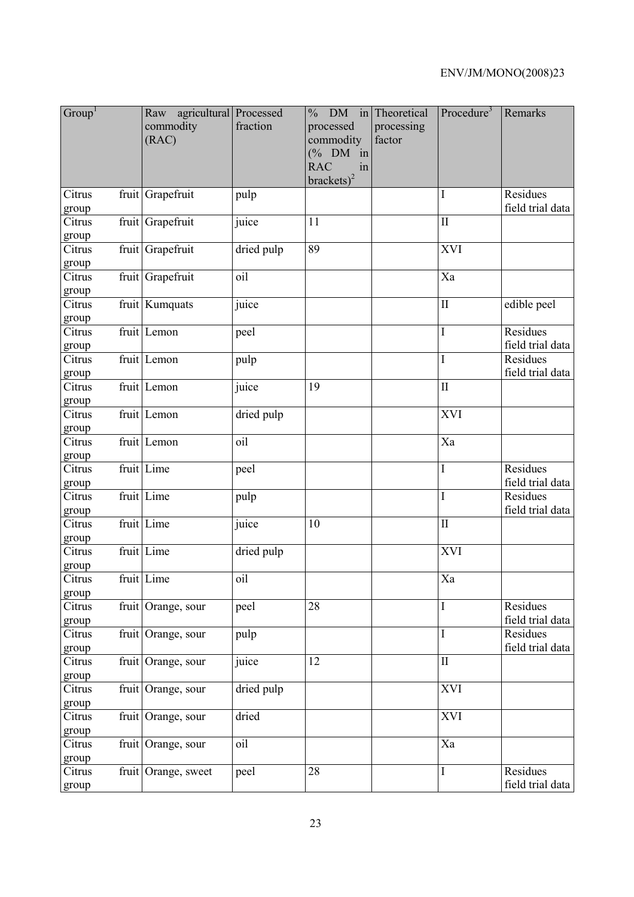| Group <sup>1</sup> | agricultural Processed<br>Raw<br>commodity<br>(RAC) | fraction   | $DM$ in<br>$\frac{0}{0}$<br>processed<br>commodity<br>$(% \mathcal{O}_{0}\cap \mathcal{O}_{1})$ (% DM in<br><b>RAC</b><br>in<br>$brackets)^2$ | Theoretical<br>processing<br>factor | Procedure <sup>3</sup>     | Remarks                      |
|--------------------|-----------------------------------------------------|------------|-----------------------------------------------------------------------------------------------------------------------------------------------|-------------------------------------|----------------------------|------------------------------|
| Citrus<br>group    | fruit Grapefruit                                    | pulp       |                                                                                                                                               |                                     | I                          | Residues<br>field trial data |
| Citrus<br>group    | fruit Grapefruit                                    | juice      | 11                                                                                                                                            |                                     | $\mathbf{I}$               |                              |
| Citrus<br>group    | fruit Grapefruit                                    | dried pulp | 89                                                                                                                                            |                                     | XVI                        |                              |
| Citrus<br>group    | fruit Grapefruit                                    | oil        |                                                                                                                                               |                                     | Xa                         |                              |
| Citrus<br>group    | fruit Kumquats                                      | juice      |                                                                                                                                               |                                     | $\mathbf{I}$               | edible peel                  |
| Citrus<br>group    | fruit Lemon                                         | peel       |                                                                                                                                               |                                     | $\mathbf I$                | Residues<br>field trial data |
| Citrus<br>group    | fruit Lemon                                         | pulp       |                                                                                                                                               |                                     | $\rm I$                    | Residues<br>field trial data |
| Citrus<br>group    | fruit Lemon                                         | juice      | 19                                                                                                                                            |                                     | $\mathbf{I}$               |                              |
| Citrus<br>group    | fruit Lemon                                         | dried pulp |                                                                                                                                               |                                     | XVI                        |                              |
| Citrus<br>group    | fruit Lemon                                         | oil        |                                                                                                                                               |                                     | Xa                         |                              |
| Citrus<br>group    | fruit Lime                                          | peel       |                                                                                                                                               |                                     | $\mathbf I$                | Residues<br>field trial data |
| Citrus<br>group    | fruit Lime                                          | pulp       |                                                                                                                                               |                                     | $\overline{I}$             | Residues<br>field trial data |
| Citrus<br>group    | fruit Lime                                          | juice      | 10                                                                                                                                            |                                     | $\mathop{\rm II}\nolimits$ |                              |
| Citrus<br>group    | fruit Lime                                          | dried pulp |                                                                                                                                               |                                     | <b>XVI</b>                 |                              |
| Citrus<br>group    | fruit Lime                                          | oil        |                                                                                                                                               |                                     | Xa                         |                              |
| Citrus<br>group    | fruit Orange, sour                                  | peel       | 28                                                                                                                                            |                                     | $\bf{I}$                   | Residues<br>field trial data |
| Citrus<br>group    | fruit Orange, sour                                  | pulp       |                                                                                                                                               |                                     | $\mathbf I$                | Residues<br>field trial data |
| Citrus<br>group    | fruit Orange, sour                                  | juice      | 12                                                                                                                                            |                                     | $\rm II$                   |                              |
| Citrus<br>group    | fruit Orange, sour                                  | dried pulp |                                                                                                                                               |                                     | <b>XVI</b>                 |                              |
| Citrus<br>group    | fruit Orange, sour                                  | dried      |                                                                                                                                               |                                     | <b>XVI</b>                 |                              |
| Citrus<br>group    | fruit Orange, sour                                  | oil        |                                                                                                                                               |                                     | Xa                         |                              |
| Citrus<br>group    | fruit Orange, sweet                                 | peel       | 28                                                                                                                                            |                                     | $\mathbf I$                | Residues<br>field trial data |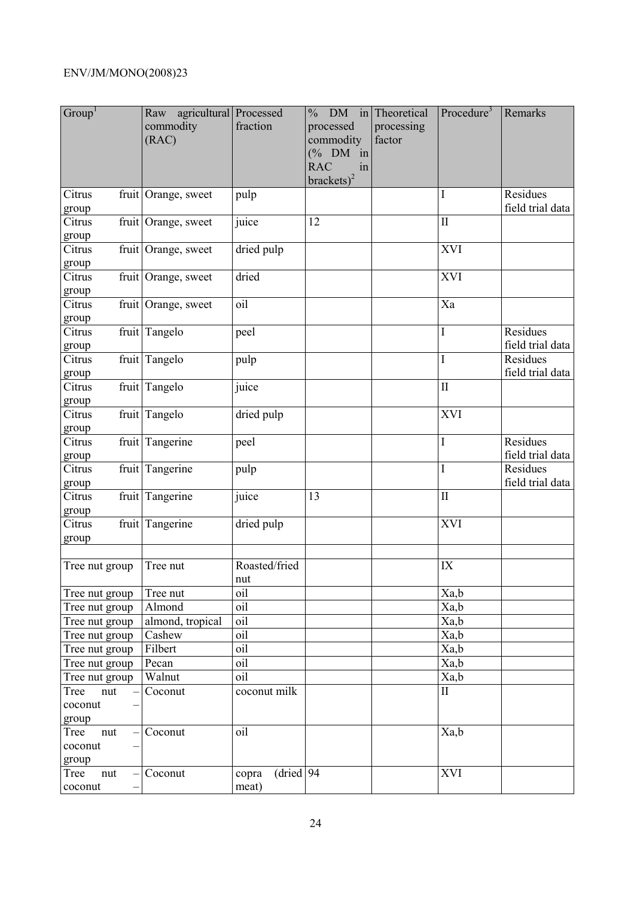| Group <sup>1</sup>              | Raw agricultural Processed<br>commodity<br>(RAC) | fraction                     | $\frac{0}{0}$<br>processed<br>commodity<br>$(% \mathcal{O}_{0}\cap \mathcal{O}_{1})$ (% DM in<br><b>RAC</b><br>in<br>brackets) <sup>2</sup> | DM in Theoretical<br>processing<br>factor | Procedure <sup>3</sup>     | Remarks                      |
|---------------------------------|--------------------------------------------------|------------------------------|---------------------------------------------------------------------------------------------------------------------------------------------|-------------------------------------------|----------------------------|------------------------------|
| Citrus<br>group                 | fruit Orange, sweet                              | pulp                         |                                                                                                                                             |                                           | I                          | Residues<br>field trial data |
| Citrus<br>group                 | fruit Orange, sweet                              | juice                        | 12                                                                                                                                          |                                           | $\rm II$                   |                              |
| Citrus<br>group                 | fruit Orange, sweet                              | dried pulp                   |                                                                                                                                             |                                           | XVI                        |                              |
| Citrus<br>group                 | fruit Orange, sweet                              | dried                        |                                                                                                                                             |                                           | XVI                        |                              |
| Citrus<br>group                 | fruit Orange, sweet                              | oil                          |                                                                                                                                             |                                           | Xa                         |                              |
| Citrus<br>group                 | fruit Tangelo                                    | peel                         |                                                                                                                                             |                                           | $\mathbf I$                | Residues<br>field trial data |
| Citrus<br>group                 | fruit Tangelo                                    | pulp                         |                                                                                                                                             |                                           | $\overline{I}$             | Residues<br>field trial data |
| Citrus<br>group                 | fruit Tangelo                                    | juice                        |                                                                                                                                             |                                           | $\mathop{\rm II}\nolimits$ |                              |
| Citrus<br>group                 | fruit Tangelo                                    | dried pulp                   |                                                                                                                                             |                                           | XVI                        |                              |
| Citrus<br>group                 | fruit Tangerine                                  | peel                         |                                                                                                                                             |                                           | $\mathbf I$                | Residues<br>field trial data |
| Citrus<br>group                 | fruit Tangerine                                  | pulp                         |                                                                                                                                             |                                           | $\rm I$                    | Residues<br>field trial data |
| Citrus<br>group                 | fruit Tangerine                                  | juice                        | 13                                                                                                                                          |                                           | $\overline{\mathbf{I}}$    |                              |
| Citrus<br>group                 | fruit Tangerine                                  | dried pulp                   |                                                                                                                                             |                                           | <b>XVI</b>                 |                              |
| Tree nut group                  | Tree nut                                         | Roasted/fried<br>nut         |                                                                                                                                             |                                           | IX                         |                              |
| Tree nut group                  | Tree nut                                         | oil                          |                                                                                                                                             |                                           | Xa,b                       |                              |
| Tree nut group                  | Almond                                           | oil                          |                                                                                                                                             |                                           | Xa,b                       |                              |
| Tree nut group                  | almond, tropical                                 | oil                          |                                                                                                                                             |                                           | Xa,b                       |                              |
| Tree nut group                  | Cashew                                           | oil                          |                                                                                                                                             |                                           | Xa,b                       |                              |
| Tree nut group                  | Filbert                                          | oil                          |                                                                                                                                             |                                           | Xa,b                       |                              |
| Tree nut group                  | Pecan                                            | oil                          |                                                                                                                                             |                                           | Xa,b                       |                              |
| Tree nut group                  | Walnut                                           | oil                          |                                                                                                                                             |                                           | Xa,b                       |                              |
| Tree<br>nut<br>coconut<br>group | Coconut                                          | coconut milk                 |                                                                                                                                             |                                           | $\mathbf{I}$               |                              |
| Tree<br>nut<br>coconut<br>group | Coconut                                          | oil                          |                                                                                                                                             |                                           | Xa,b                       |                              |
| Tree<br>nut<br>coconut          | $- $ Coconut                                     | $dried$ 94<br>copra<br>meat) |                                                                                                                                             |                                           | XVI                        |                              |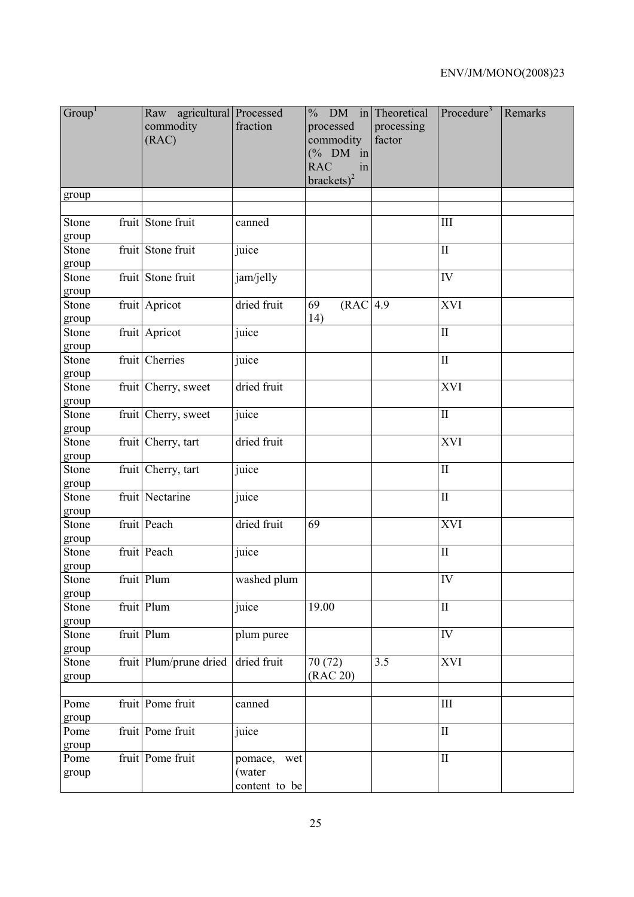| Group <sup>1</sup> | agricultural Processed<br>Raw<br>commodity<br>(RAC) | fraction                                  | <b>DM</b><br>in<br>$\frac{0}{0}$<br>processed<br>commodity<br>$(% \mathcal{O}_{0}\cap \mathcal{O}_{1})$ (% DM in<br><b>RAC</b><br>in<br>$brackets)^2$ | Theoretical<br>processing<br>factor | Procedure <sup>3</sup>  | Remarks |
|--------------------|-----------------------------------------------------|-------------------------------------------|-------------------------------------------------------------------------------------------------------------------------------------------------------|-------------------------------------|-------------------------|---------|
| group              |                                                     |                                           |                                                                                                                                                       |                                     |                         |         |
| Stone<br>group     | fruit Stone fruit                                   | canned                                    |                                                                                                                                                       |                                     | III                     |         |
| Stone<br>group     | fruit Stone fruit                                   | juice                                     |                                                                                                                                                       |                                     | $\mathbf I$             |         |
| Stone<br>group     | fruit Stone fruit                                   | jam/jelly                                 |                                                                                                                                                       |                                     | IV                      |         |
| Stone<br>group     | fruit Apricot                                       | dried fruit                               | (RAC 4.9)<br>69<br>14)                                                                                                                                |                                     | XVI                     |         |
| Stone<br>group     | fruit Apricot                                       | juice                                     |                                                                                                                                                       |                                     | $\rm II$                |         |
| Stone<br>group     | fruit Cherries                                      | juice                                     |                                                                                                                                                       |                                     | $\mathbf{I}$            |         |
| Stone<br>group     | fruit Cherry, sweet                                 | dried fruit                               |                                                                                                                                                       |                                     | XVI                     |         |
| Stone<br>group     | fruit Cherry, sweet                                 | juice                                     |                                                                                                                                                       |                                     | $\overline{\mathbf{I}}$ |         |
| Stone<br>group     | fruit Cherry, tart                                  | dried fruit                               |                                                                                                                                                       |                                     | XVI                     |         |
| Stone<br>group     | fruit Cherry, tart                                  | juice                                     |                                                                                                                                                       |                                     | $\rm II$                |         |
| Stone<br>group     | fruit Nectarine                                     | juice                                     |                                                                                                                                                       |                                     | $\overline{\rm II}$     |         |
| Stone<br>group     | fruit Peach                                         | dried fruit                               | 69                                                                                                                                                    |                                     | <b>XVI</b>              |         |
| Stone<br>group     | fruit Peach                                         | juice                                     |                                                                                                                                                       |                                     | $\rm II$                |         |
| Stone<br>group     | fruit Plum                                          | washed plum                               |                                                                                                                                                       |                                     | ${\rm IV}$              |         |
| Stone<br>group     | fruit Plum                                          | juice                                     | 19.00                                                                                                                                                 |                                     | $\rm II$                |         |
| Stone<br>group     | fruit Plum                                          | plum puree                                |                                                                                                                                                       |                                     | IV                      |         |
| Stone<br>group     | fruit Plum/prune dried                              | dried fruit                               | 70 (72)<br>(RAC 20)                                                                                                                                   | 3.5                                 | <b>XVI</b>              |         |
| Pome<br>group      | fruit Pome fruit                                    | canned                                    |                                                                                                                                                       |                                     | III                     |         |
| Pome<br>group      | fruit Pome fruit                                    | juice                                     |                                                                                                                                                       |                                     | $\rm II$                |         |
| Pome<br>group      | fruit Pome fruit                                    | pomace,<br>wet<br>(water<br>content to be |                                                                                                                                                       |                                     | $\rm II$                |         |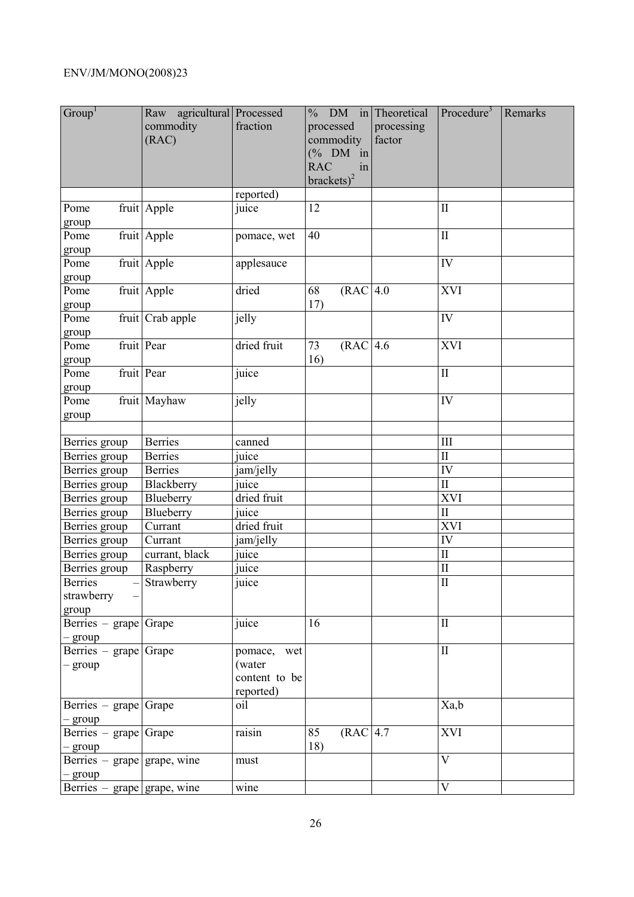| Group <sup>1</sup>                       | Raw agricultural Processed<br>commodity<br>(RAC) | fraction                                               | $%$ DM in Theoretical<br>processed<br>commodity<br>$(% \mathcal{O}_{0}\cap \mathcal{O}_{1})$ (% DM in<br><b>RAC</b><br>in<br>brackets) <sup>2</sup> | processing<br>factor | Procedure $3$          | Remarks |
|------------------------------------------|--------------------------------------------------|--------------------------------------------------------|-----------------------------------------------------------------------------------------------------------------------------------------------------|----------------------|------------------------|---------|
|                                          |                                                  | reported)                                              |                                                                                                                                                     |                      |                        |         |
| Pome<br>group                            | fruit Apple                                      | juice                                                  | 12                                                                                                                                                  |                      | $\mathbf{I}$           |         |
| Pome<br>group                            | fruit Apple                                      | pomace, wet                                            | 40                                                                                                                                                  |                      | $\mathbf{I}$           |         |
| Pome<br>group                            | fruit Apple                                      | applesauce                                             |                                                                                                                                                     |                      | IV                     |         |
| Pome<br>group                            | fruit Apple                                      | dried                                                  | (RAC 4.0<br>68<br>17)                                                                                                                               |                      | <b>XVI</b>             |         |
| Pome<br>group                            | fruit Crab apple                                 | jelly                                                  |                                                                                                                                                     |                      | IV                     |         |
| Pome<br>group                            | fruit Pear                                       | dried fruit                                            | (RAC 4.6<br>73<br>16)                                                                                                                               |                      | <b>XVI</b>             |         |
| Pome<br>group                            | fruit Pear                                       | juice                                                  |                                                                                                                                                     |                      | $\rm II$               |         |
| Pome<br>group                            | fruit Mayhaw                                     | jelly                                                  |                                                                                                                                                     |                      | IV                     |         |
|                                          |                                                  |                                                        |                                                                                                                                                     |                      |                        |         |
| Berries group                            | <b>Berries</b>                                   | canned                                                 |                                                                                                                                                     |                      | III                    |         |
| Berries group                            | <b>Berries</b>                                   | juice                                                  |                                                                                                                                                     |                      | $\mathbf{I}$           |         |
| Berries group                            | <b>Berries</b>                                   | jam/jelly                                              |                                                                                                                                                     |                      | IV                     |         |
| Berries group                            | Blackberry                                       | juice                                                  |                                                                                                                                                     |                      | $\rm II$               |         |
| Berries group                            | Blueberry                                        | dried fruit                                            |                                                                                                                                                     |                      | XVI                    |         |
| Berries group                            | Blueberry                                        | juice                                                  |                                                                                                                                                     |                      | $\mathbf{I}$           |         |
| Berries group                            | Currant                                          | dried fruit                                            |                                                                                                                                                     |                      | XVI                    |         |
| Berries group                            | Currant                                          | jam/jelly                                              |                                                                                                                                                     |                      | IV                     |         |
| Berries group                            | currant, black                                   | $\overline{i\overline{u}}$                             |                                                                                                                                                     |                      | $\overline{\text{II}}$ |         |
| Berries group                            | Raspberry                                        | juice                                                  |                                                                                                                                                     |                      | $\rm II$               |         |
| Berries<br>strawberry<br>group           | $-\sqrt{\text{Strawberry}}$                      | juice                                                  |                                                                                                                                                     |                      | $\overline{\rm II}$    |         |
| Berries – grape Grape<br>$-$ group       |                                                  | juice                                                  | 16                                                                                                                                                  |                      | $\mathbf{I}$           |         |
| Berries – grape Grape<br>$-$ group       |                                                  | pomace,<br>wet<br>(water<br>content to be<br>reported) |                                                                                                                                                     |                      | $\rm II$               |         |
| Berries – grape Grape<br>$-$ group       |                                                  | oil                                                    |                                                                                                                                                     |                      | Xa,b                   |         |
| Berries – grape Grape<br>- group         |                                                  | raisin                                                 | (RAC 4.7<br>85<br>18)                                                                                                                               |                      | XVI                    |         |
| Berries – grape grape, wine<br>$-$ group |                                                  | must                                                   |                                                                                                                                                     |                      | $\mathbf V$            |         |
| Berries $-$ grape grape, wine            |                                                  | wine                                                   |                                                                                                                                                     |                      | $\mathbf V$            |         |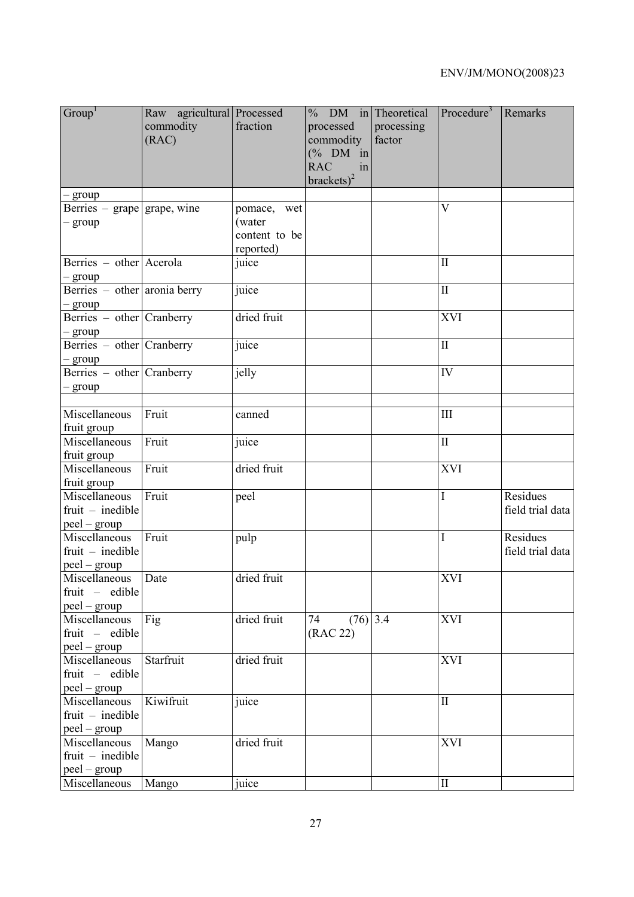| Group <sup>1</sup>                                     | Raw agricultural Processed<br>commodity<br>(RAC) | fraction                                            | $%$ DM in Theoretical<br>processed<br>commodity<br>$(\%$ DM in<br><b>RAC</b><br>in<br>$brackets)^2$ | processing<br>factor | Procedure <sup>3</sup> | Remarks                      |
|--------------------------------------------------------|--------------------------------------------------|-----------------------------------------------------|-----------------------------------------------------------------------------------------------------|----------------------|------------------------|------------------------------|
| – group                                                |                                                  |                                                     |                                                                                                     |                      |                        |                              |
| Berries – grape grape, wine<br>- group                 |                                                  | pomace, wet<br>(water<br>content to be<br>reported) |                                                                                                     |                      | $\overline{V}$         |                              |
| Berries – other Acerola<br>- group                     |                                                  | juice                                               |                                                                                                     |                      | $\mathbf{I}$           |                              |
| Berries – other aronia berry<br>- group                |                                                  | juice                                               |                                                                                                     |                      | $\mathbf{I}$           |                              |
| Berries - other Cranberry<br>- group                   |                                                  | dried fruit                                         |                                                                                                     |                      | <b>XVI</b>             |                              |
| Berries – other Cranberry<br>$-$ group                 |                                                  | juice                                               |                                                                                                     |                      | $\mathbf{I}$           |                              |
| Berries – other Cranberry<br>$-$ group                 |                                                  | jelly                                               |                                                                                                     |                      | IV                     |                              |
| Miscellaneous<br>fruit group                           | Fruit                                            | canned                                              |                                                                                                     |                      | III                    |                              |
| Miscellaneous<br>fruit group                           | Fruit                                            | juice                                               |                                                                                                     |                      | $\mathbf{I}$           |                              |
| Miscellaneous<br>fruit group                           | Fruit                                            | dried fruit                                         |                                                                                                     |                      | XVI                    |                              |
| Miscellaneous<br>$fruit - inedible$<br>$peel - group$  | Fruit                                            | peel                                                |                                                                                                     |                      | $\mathbf I$            | Residues<br>field trial data |
| Miscellaneous<br>$fruit - inedible$<br>$peel - group$  | Fruit                                            | pulp                                                |                                                                                                     |                      | I                      | Residues<br>field trial data |
| Miscellaneous Date<br>fruit - edible<br>$peel - group$ |                                                  | dried fruit                                         |                                                                                                     |                      | <b>XVI</b>             |                              |
| Miscellaneous<br>fruit - edible<br>$peel - group$      | Fig                                              | dried fruit                                         | $(76)$ 3.4<br>74<br>(RAC 22)                                                                        |                      | <b>XVI</b>             |                              |
| Miscellaneous<br>fruit - edible<br>peel – group        | Starfruit                                        | dried fruit                                         |                                                                                                     |                      | <b>XVI</b>             |                              |
| Miscellaneous<br>$fruit$ – inedible<br>$peel - group$  | Kiwifruit                                        | juice                                               |                                                                                                     |                      | $\mathbf{I}$           |                              |
| Miscellaneous<br>$fruit$ – inedible<br>$peel - group$  | Mango                                            | dried fruit                                         |                                                                                                     |                      | <b>XVI</b>             |                              |
| Miscellaneous                                          | Mango                                            | juice                                               |                                                                                                     |                      | $\rm II$               |                              |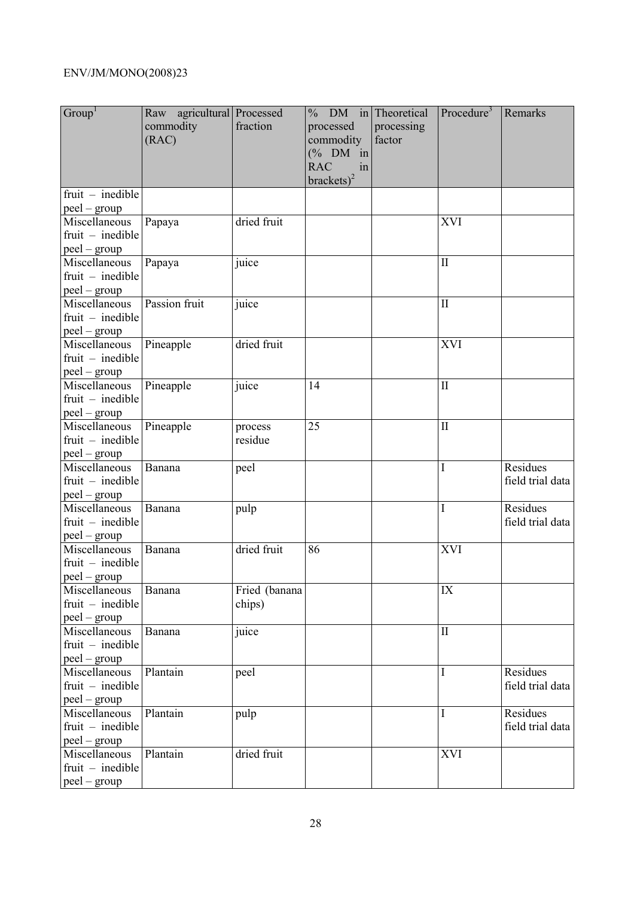| Group <sup>1</sup>                                    | Raw agricultural Processed<br>commodity<br>(RAC) | fraction                | % DM in Theoretical<br>processed<br>commodity<br>$(% \mathcal{O}_{0}\cap \mathcal{O}_{1})$ (% DM in<br><b>RAC</b><br>in<br>brackets) <sup>2</sup> | processing<br>factor | Procedure <sup>3</sup> | Remarks                      |
|-------------------------------------------------------|--------------------------------------------------|-------------------------|---------------------------------------------------------------------------------------------------------------------------------------------------|----------------------|------------------------|------------------------------|
| $fruit - inedible$<br>$peel - group$                  |                                                  |                         |                                                                                                                                                   |                      |                        |                              |
| Miscellaneous<br>$fruit$ – inedible<br>peel – group   | Papaya                                           | dried fruit             |                                                                                                                                                   |                      | <b>XVI</b>             |                              |
| Miscellaneous<br>$fruit - inedible$<br>$peel - group$ | Papaya                                           | juice                   |                                                                                                                                                   |                      | $\mathbf{I}$           |                              |
| Miscellaneous<br>$fruit$ – inedible<br>$peel - group$ | Passion fruit                                    | juice                   |                                                                                                                                                   |                      | $\mathbf{I}$           |                              |
| Miscellaneous<br>$fruit$ – inedible<br>$peel - group$ | Pineapple                                        | dried fruit             |                                                                                                                                                   |                      | XVI                    |                              |
| Miscellaneous<br>$fruit$ – inedible<br>$peel - group$ | Pineapple                                        | juice                   | 14                                                                                                                                                |                      | $\mathbf{I}$           |                              |
| Miscellaneous<br>$fruit - inedible$<br>$peel - group$ | Pineapple                                        | process<br>residue      | 25                                                                                                                                                |                      | $\mathbf{I}$           |                              |
| Miscellaneous<br>$fruit$ – inedible<br>$peel - group$ | Banana                                           | peel                    |                                                                                                                                                   |                      | $\mathbf I$            | Residues<br>field trial data |
| Miscellaneous<br>$fruit$ – inedible<br>$peel - group$ | Banana                                           | pulp                    |                                                                                                                                                   |                      | $\mathbf I$            | Residues<br>field trial data |
| Miscellaneous<br>$fruit$ – inedible<br>$peel - group$ | Banana                                           | dried fruit             | 86                                                                                                                                                |                      | <b>XVI</b>             |                              |
| Miscellaneous<br>$fruit$ – inedible<br>$peel - group$ | Banana                                           | Fried (banana<br>chips) |                                                                                                                                                   |                      | IX                     |                              |
| Miscellaneous<br>$fruit - inedible$<br>$peel - group$ | Banana                                           | juice                   |                                                                                                                                                   |                      | $\mathbf{I}$           |                              |
| Miscellaneous<br>$fruit - inedible$<br>$peel - group$ | Plantain                                         | peel                    |                                                                                                                                                   |                      | $\mathbf I$            | Residues<br>field trial data |
| Miscellaneous<br>$fruit - inedible$<br>$peel - group$ | Plantain                                         | pulp                    |                                                                                                                                                   |                      | Ι                      | Residues<br>field trial data |
| Miscellaneous<br>$fruit - inedible$<br>$peel - group$ | Plantain                                         | dried fruit             |                                                                                                                                                   |                      | <b>XVI</b>             |                              |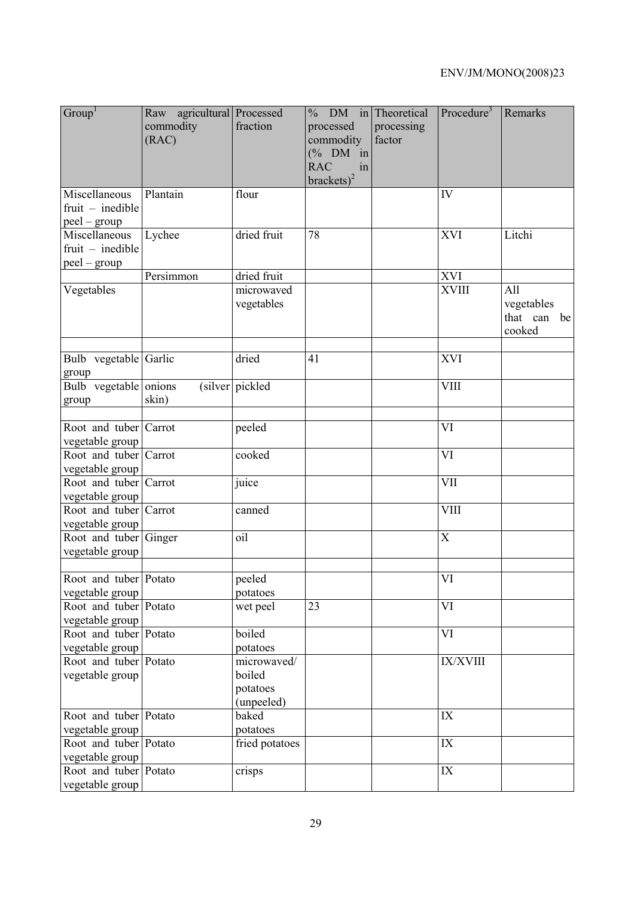| Group <sup>1</sup>                                  | Raw agricultural Processed<br>commodity<br>(RAC) | fraction                                        | $%$ DM in Theoretical<br>processed<br>commodity<br>$(% \mathcal{O}_{0}\cap \mathcal{O}_{1})$ (% DM in<br><b>RAC</b><br>in<br>brackets $)^2$ | processing<br>factor | Procedure <sup>3</sup>    | Remarks                                    |
|-----------------------------------------------------|--------------------------------------------------|-------------------------------------------------|---------------------------------------------------------------------------------------------------------------------------------------------|----------------------|---------------------------|--------------------------------------------|
| Miscellaneous<br>$fruit$ – inedible<br>peel – group | Plantain                                         | flour                                           |                                                                                                                                             |                      | IV                        |                                            |
| Miscellaneous<br>$fruit - inedible$<br>peel - group | Lychee                                           | dried fruit                                     | 78                                                                                                                                          |                      | XVI                       | Litchi                                     |
|                                                     | Persimmon                                        | dried fruit                                     |                                                                                                                                             |                      | <b>XVI</b>                |                                            |
| Vegetables                                          |                                                  | microwaved<br>vegetables                        |                                                                                                                                             |                      | <b>XVIII</b>              | All<br>vegetables<br>that can be<br>cooked |
| Bulb vegetable Garlic<br>group                      |                                                  | dried                                           | 41                                                                                                                                          |                      | <b>XVI</b>                |                                            |
| Bulb vegetable onions<br>group                      | skin)                                            | (silver pickled)                                |                                                                                                                                             |                      | <b>VIII</b>               |                                            |
| Root and tuber Carrot<br>vegetable group            |                                                  | peeled                                          |                                                                                                                                             |                      | VI                        |                                            |
| Root and tuber Carrot<br>vegetable group            |                                                  | cooked                                          |                                                                                                                                             |                      | VI                        |                                            |
| Root and tuber Carrot<br>vegetable group            |                                                  | juice                                           |                                                                                                                                             |                      | <b>VII</b>                |                                            |
| Root and tuber Carrot<br>vegetable group            |                                                  | canned                                          |                                                                                                                                             |                      | VIII                      |                                            |
| Root and tuber Ginger<br>vegetable group            |                                                  | oil                                             |                                                                                                                                             |                      | $\boldsymbol{\mathrm{X}}$ |                                            |
| Root and tuber Potato<br>vegetable group            |                                                  | peeled<br>potatoes                              |                                                                                                                                             |                      | VI                        |                                            |
| Root and tuber Potato<br>vegetable group            |                                                  | wet peel                                        | 23                                                                                                                                          |                      | VI                        |                                            |
| Root and tuber Potato<br>vegetable group            |                                                  | boiled<br>potatoes                              |                                                                                                                                             |                      | VI                        |                                            |
| Root and tuber Potato<br>vegetable group            |                                                  | microwaved/<br>boiled<br>potatoes<br>(unpeeled) |                                                                                                                                             |                      | IX/XVIII                  |                                            |
| Root and tuber Potato<br>vegetable group            |                                                  | baked<br>potatoes                               |                                                                                                                                             |                      | IX                        |                                            |
| Root and tuber Potato<br>vegetable group            |                                                  | fried potatoes                                  |                                                                                                                                             |                      | IX                        |                                            |
| Root and tuber Potato<br>vegetable group            |                                                  | crisps                                          |                                                                                                                                             |                      | IX                        |                                            |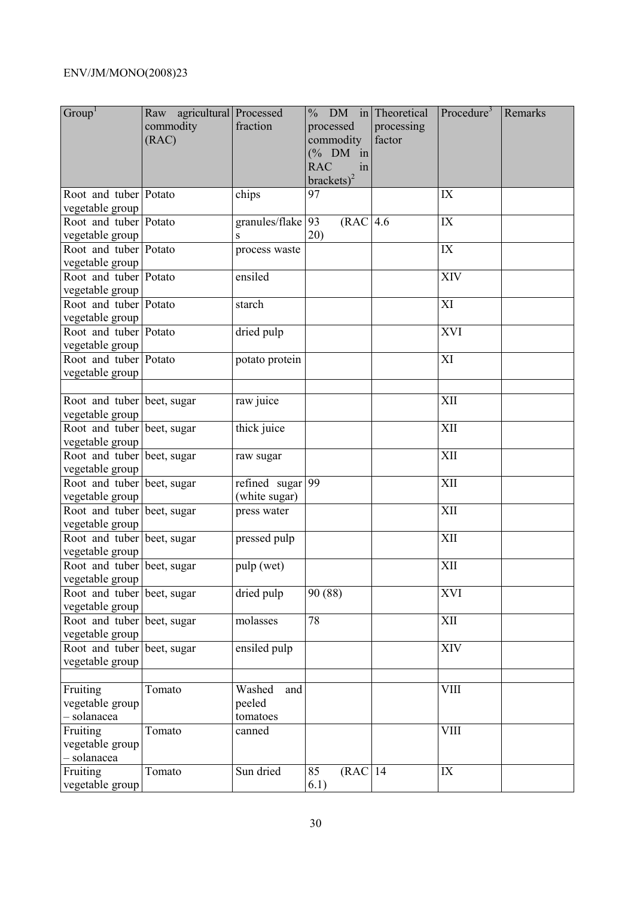| Group <sup>1</sup>                            | Raw agricultural Processed<br>commodity<br>(RAC) | fraction                            | $%$ DM in Theoretical<br>processed<br>commodity<br>$(% \mathcal{O}_{0}\cap \mathcal{O}_{1})$ (% DM in<br><b>RAC</b><br>in<br>brackets) <sup>2</sup> | processing<br>factor | Procedure <sup>3</sup> | Remarks |
|-----------------------------------------------|--------------------------------------------------|-------------------------------------|-----------------------------------------------------------------------------------------------------------------------------------------------------|----------------------|------------------------|---------|
| Root and tuber Potato<br>vegetable group      |                                                  | chips                               | 97                                                                                                                                                  |                      | IX                     |         |
| Root and tuber Potato<br>vegetable group      |                                                  | granules/flake 93<br>S              | (RAC 4.6<br>20)                                                                                                                                     |                      | IX                     |         |
| Root and tuber Potato<br>vegetable group      |                                                  | process waste                       |                                                                                                                                                     |                      | IX                     |         |
| Root and tuber Potato<br>vegetable group      |                                                  | ensiled                             |                                                                                                                                                     |                      | XIV                    |         |
| Root and tuber Potato<br>vegetable group      |                                                  | starch                              |                                                                                                                                                     |                      | XI                     |         |
| Root and tuber Potato<br>vegetable group      |                                                  | dried pulp                          |                                                                                                                                                     |                      | XVI                    |         |
| Root and tuber Potato<br>vegetable group      |                                                  | potato protein                      |                                                                                                                                                     |                      | XI                     |         |
| Root and tuber beet, sugar<br>vegetable group |                                                  | raw juice                           |                                                                                                                                                     |                      | XII                    |         |
| Root and tuber beet, sugar<br>vegetable group |                                                  | thick juice                         |                                                                                                                                                     |                      | XII                    |         |
| Root and tuber beet, sugar<br>vegetable group |                                                  | raw sugar                           |                                                                                                                                                     |                      | XII                    |         |
| Root and tuber beet, sugar<br>vegetable group |                                                  | refined sugar $99$<br>(white sugar) |                                                                                                                                                     |                      | XII                    |         |
| Root and tuber beet, sugar<br>vegetable group |                                                  | press water                         |                                                                                                                                                     |                      | XII                    |         |
| Root and tuber beet, sugar<br>vegetable group |                                                  | pressed pulp                        |                                                                                                                                                     |                      | XII                    |         |
| Root and tuber beet, sugar<br>vegetable group |                                                  | pulp (wet)                          |                                                                                                                                                     |                      | XII                    |         |
| Root and tuber beet, sugar<br>vegetable group |                                                  | dried pulp                          | 90 (88)                                                                                                                                             |                      | <b>XVI</b>             |         |
| Root and tuber beet, sugar<br>vegetable group |                                                  | molasses                            | 78                                                                                                                                                  |                      | XII                    |         |
| Root and tuber beet, sugar<br>vegetable group |                                                  | ensiled pulp                        |                                                                                                                                                     |                      | XIV                    |         |
| Fruiting<br>vegetable group<br>- solanacea    | Tomato                                           | Washed<br>and<br>peeled<br>tomatoes |                                                                                                                                                     |                      | <b>VIII</b>            |         |
| Fruiting<br>vegetable group<br>- solanacea    | Tomato                                           | canned                              |                                                                                                                                                     |                      | <b>VIII</b>            |         |
| Fruiting<br>vegetable group                   | Tomato                                           | Sun dried                           | $(RAC$ <sup>14</sup><br>85<br>6.1)                                                                                                                  |                      | IX                     |         |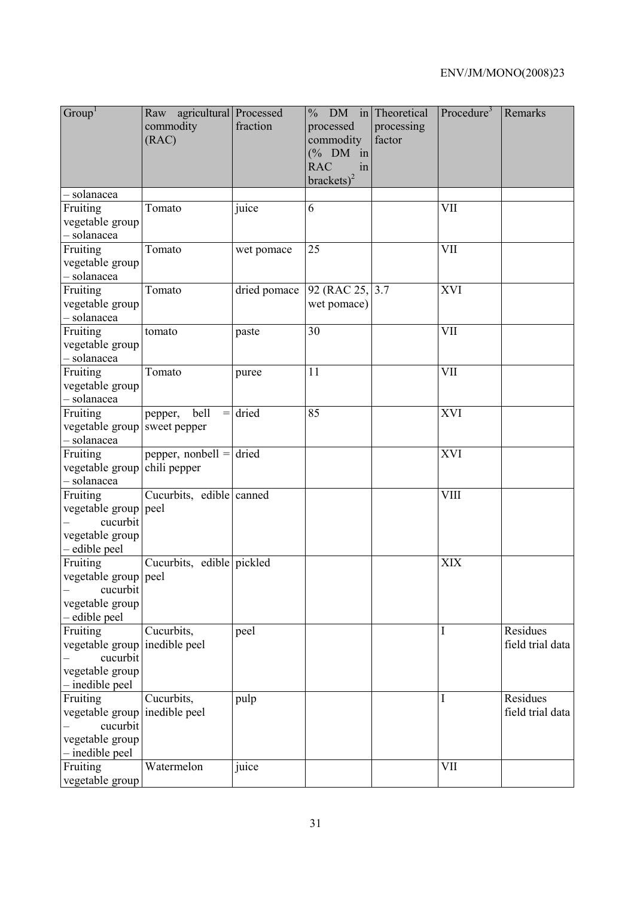| Group <sup>1</sup>                                                                            | Raw agricultural Processed<br>commodity<br>(RAC) | fraction     | % DM in Theoretical<br>processed<br>commodity<br>$(\%$ DM in<br><b>RAC</b><br>in<br>$brackets)^2$ | processing<br>factor | Procedure <sup>3</sup> | Remarks                      |
|-----------------------------------------------------------------------------------------------|--------------------------------------------------|--------------|---------------------------------------------------------------------------------------------------|----------------------|------------------------|------------------------------|
| - solanacea                                                                                   |                                                  |              |                                                                                                   |                      |                        |                              |
| Fruiting<br>vegetable group<br>- solanacea                                                    | Tomato                                           | juice        | 6                                                                                                 |                      | VII                    |                              |
| Fruiting<br>vegetable group<br>- solanacea                                                    | Tomato                                           | wet pomace   | 25                                                                                                |                      | VII                    |                              |
| Fruiting<br>vegetable group<br>- solanacea                                                    | Tomato                                           | dried pomace | 92 (RAC 25, 3.7)<br>wet pomace)                                                                   |                      | <b>XVI</b>             |                              |
| Fruiting<br>vegetable group<br>- solanacea                                                    | tomato                                           | paste        | 30                                                                                                |                      | <b>VII</b>             |                              |
| Fruiting<br>vegetable group<br>- solanacea                                                    | Tomato                                           | puree        | 11                                                                                                |                      | VII                    |                              |
| Fruiting<br>vegetable group sweet pepper<br>- solanacea                                       | bell<br>pepper,<br>$\!=$                         | dried        | 85                                                                                                |                      | <b>XVI</b>             |                              |
| Fruiting<br>vegetable group chili pepper<br>- solanacea                                       | pepper, nonbell $=$ dried                        |              |                                                                                                   |                      | XVI                    |                              |
| Fruiting<br>vegetable group peel<br>cucurbit<br>vegetable group<br>- edible peel              | Cucurbits, edible canned                         |              |                                                                                                   |                      | <b>VIII</b>            |                              |
| Fruiting<br>vegetable group peel<br>cucurbit<br>vegetable group<br>- edible peel              | Cucurbits, edible pickled                        |              |                                                                                                   |                      | <b>XIX</b>             |                              |
| Fruiting<br>vegetable group inedible peel<br>cucurbit<br>vegetable group<br>$-\text{include}$ | Cucurbits,                                       | peel         |                                                                                                   |                      | I                      | Residues<br>field trial data |
| Fruiting<br>vegetable group inedible peel<br>cucurbit<br>vegetable group<br>- inedible peel   | Cucurbits,                                       | pulp         |                                                                                                   |                      | I                      | Residues<br>field trial data |
| Fruiting<br>vegetable group                                                                   | Watermelon                                       | juice        |                                                                                                   |                      | <b>VII</b>             |                              |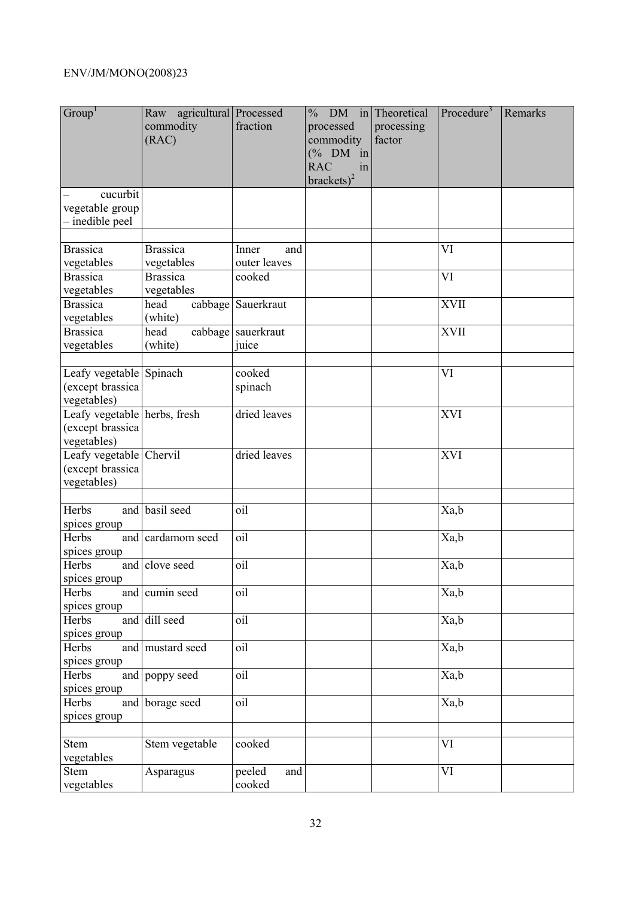| Group <sup>1</sup>                                              | Raw agricultural Processed<br>commodity<br>(RAC) | fraction                | $%$ DM in Theoretical<br>processed<br>commodity<br>$(% \mathcal{O}_{0}\cap \mathcal{O}_{1})$ (% DM in<br><b>RAC</b><br>in<br>brackets) <sup>2</sup> | processing<br>factor | Procedure <sup>3</sup> | Remarks |
|-----------------------------------------------------------------|--------------------------------------------------|-------------------------|-----------------------------------------------------------------------------------------------------------------------------------------------------|----------------------|------------------------|---------|
| cucurbit<br>vegetable group<br>- inedible peel                  |                                                  |                         |                                                                                                                                                     |                      |                        |         |
| <b>Brassica</b>                                                 | <b>Brassica</b>                                  | Inner                   |                                                                                                                                                     |                      | VI                     |         |
| vegetables                                                      | vegetables                                       | and<br>outer leaves     |                                                                                                                                                     |                      |                        |         |
| <b>Brassica</b>                                                 | <b>Brassica</b>                                  | cooked                  |                                                                                                                                                     |                      | VI                     |         |
| vegetables                                                      | vegetables                                       |                         |                                                                                                                                                     |                      |                        |         |
| <b>Brassica</b>                                                 | head                                             | cabbage Sauerkraut      |                                                                                                                                                     |                      | <b>XVII</b>            |         |
| vegetables                                                      | (white)                                          |                         |                                                                                                                                                     |                      |                        |         |
| <b>Brassica</b>                                                 | head                                             | cabbage sauerkraut      |                                                                                                                                                     |                      | <b>XVII</b>            |         |
| vegetables                                                      | (white)                                          | juice                   |                                                                                                                                                     |                      |                        |         |
| Leafy vegetable Spinach<br>(except brassica<br>vegetables)      |                                                  | cooked<br>spinach       |                                                                                                                                                     |                      | VI                     |         |
| Leafy vegetable herbs, fresh<br>(except brassica<br>vegetables) |                                                  | dried leaves            |                                                                                                                                                     |                      | <b>XVI</b>             |         |
| Leafy vegetable Chervil<br>(except brassica<br>vegetables)      |                                                  | dried leaves            |                                                                                                                                                     |                      | <b>XVI</b>             |         |
| Herbs<br>spices group                                           | and basil seed                                   | oil                     |                                                                                                                                                     |                      | Xa,b                   |         |
| Herbs<br>spices group                                           | and cardamom seed                                | oil                     |                                                                                                                                                     |                      | Xa,b                   |         |
| Herbs<br>spices group                                           | and clove seed                                   | oil                     |                                                                                                                                                     |                      | Xa,b                   |         |
| Herbs<br>spices group                                           | and cumin seed                                   | oil                     |                                                                                                                                                     |                      | Xa,b                   |         |
| Herbs<br>spices group                                           | and dill seed                                    | oil                     |                                                                                                                                                     |                      | $Xa, \overline{b}$     |         |
| Herbs<br>spices group                                           | and mustard seed                                 | oil                     |                                                                                                                                                     |                      | Xa,b                   |         |
| Herbs<br>spices group                                           | and poppy seed                                   | oil                     |                                                                                                                                                     |                      | Xa,b                   |         |
| Herbs<br>spices group                                           | and borage seed                                  | oil                     |                                                                                                                                                     |                      | Xa,b                   |         |
|                                                                 |                                                  |                         |                                                                                                                                                     |                      |                        |         |
| Stem<br>vegetables                                              | Stem vegetable                                   | cooked                  |                                                                                                                                                     |                      | VI                     |         |
| Stem<br>vegetables                                              | Asparagus                                        | peeled<br>and<br>cooked |                                                                                                                                                     |                      | VI                     |         |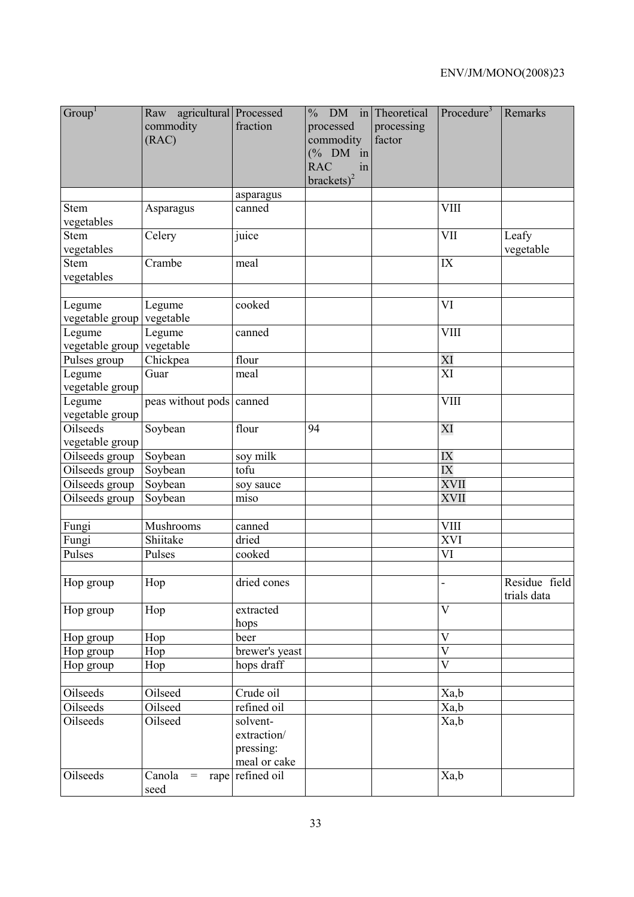| Group <sup>1</sup>                  | Raw agricultural Processed<br>commodity<br>(RAC) | fraction                                             | $\frac{0}{0}$<br>processed<br>commodity<br>$(\%$ DM in<br><b>RAC</b><br>in<br>$brackets)^2$ | DM in Theoretical<br>processing<br>factor | Procedure <sup>3</sup>   | Remarks                      |
|-------------------------------------|--------------------------------------------------|------------------------------------------------------|---------------------------------------------------------------------------------------------|-------------------------------------------|--------------------------|------------------------------|
|                                     |                                                  | asparagus                                            |                                                                                             |                                           |                          |                              |
| <b>Stem</b><br>vegetables           | Asparagus                                        | canned                                               |                                                                                             |                                           | <b>VIII</b>              |                              |
| <b>Stem</b><br>vegetables           | Celery                                           | juice                                                |                                                                                             |                                           | VII                      | Leafy<br>vegetable           |
| <b>Stem</b><br>vegetables           | $\overline{C}$ rambe                             | meal                                                 |                                                                                             |                                           | IX                       |                              |
| Legume<br>vegetable group vegetable | Legume                                           | cooked                                               |                                                                                             |                                           | VI                       |                              |
| Legume<br>vegetable group vegetable | Legume                                           | canned                                               |                                                                                             |                                           | <b>VIII</b>              |                              |
| Pulses group                        | Chickpea                                         | flour                                                |                                                                                             |                                           | XI                       |                              |
| Legume<br>vegetable group           | Guar                                             | meal                                                 |                                                                                             |                                           | $\overline{XI}$          |                              |
| Legume<br>vegetable group           | peas without pods canned                         |                                                      |                                                                                             |                                           | <b>VIII</b>              |                              |
| Oilseeds<br>vegetable group         | Soybean                                          | flour                                                | 94                                                                                          |                                           | XI                       |                              |
| Oilseeds group                      | Soybean                                          | soy milk                                             |                                                                                             |                                           | IX                       |                              |
| Oilseeds group                      | Soybean                                          | tofu                                                 |                                                                                             |                                           | IX                       |                              |
| Oilseeds group                      | Soybean                                          | soy sauce                                            |                                                                                             |                                           | XVII                     |                              |
| Oilseeds group                      | Soybean                                          | miso                                                 |                                                                                             |                                           | XVII                     |                              |
|                                     |                                                  |                                                      |                                                                                             |                                           |                          |                              |
| Fungi                               | Mushrooms                                        | canned                                               |                                                                                             |                                           | $\overline{\text{VIII}}$ |                              |
| Fungi                               | Shiitake                                         | dried                                                |                                                                                             |                                           | XVI                      |                              |
| Pulses                              | Pulses                                           | cooked                                               |                                                                                             |                                           | VI                       |                              |
| Hop group                           | Hop                                              | dried cones                                          |                                                                                             |                                           |                          | Residue field<br>trials data |
| Hop group                           | Hop                                              | extracted<br>hops                                    |                                                                                             |                                           | V                        |                              |
| Hop group                           | Hop                                              | beer                                                 |                                                                                             |                                           | $\overline{V}$           |                              |
| Hop group                           | Hop                                              | brewer's yeast                                       |                                                                                             |                                           | $\overline{\rm V}$       |                              |
| Hop group                           | Hop                                              | hops draff                                           |                                                                                             |                                           | $\overline{\rm V}$       |                              |
|                                     |                                                  |                                                      |                                                                                             |                                           |                          |                              |
| Oilseeds<br>Oilseeds                | Oilseed<br>Oilseed                               | Crude oil<br>refined oil                             |                                                                                             |                                           | Xa,b                     |                              |
|                                     |                                                  |                                                      |                                                                                             |                                           | Xa,b                     |                              |
| Oilseeds                            | Oilseed                                          | solvent-<br>extraction/<br>pressing:<br>meal or cake |                                                                                             |                                           | Xa,b                     |                              |
| Oilseeds                            | Canola<br>$=$<br>seed                            | rape refined oil                                     |                                                                                             |                                           | Xa,b                     |                              |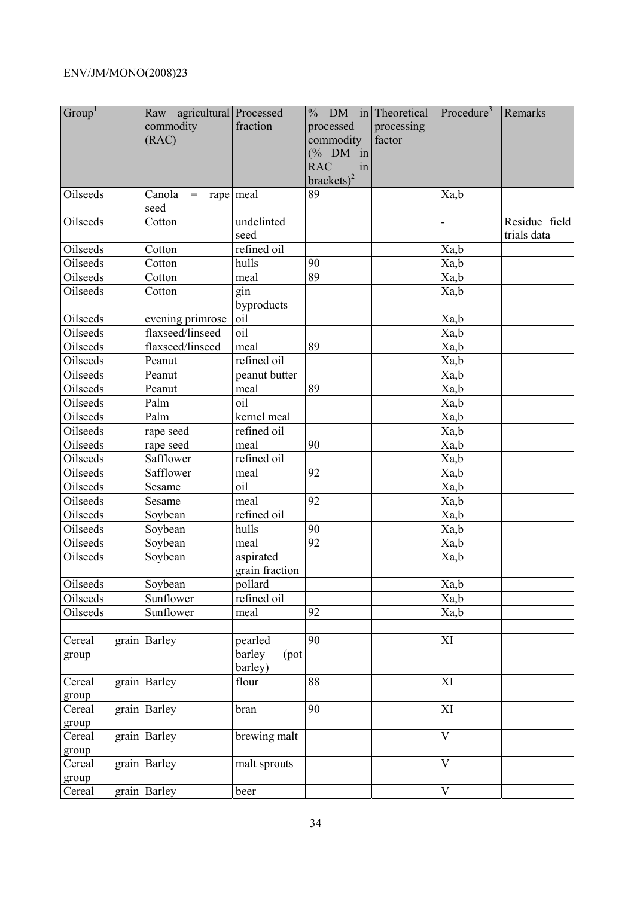| Group <sup>1</sup> | Raw agricultural Processed<br>commodity<br>(RAC) | fraction                             | $%$ DM in Theoretical<br>processed<br>commodity<br>$(% \mathcal{O}_{0}\cap \mathcal{O}_{1})$ (% DM in<br><b>RAC</b><br>in<br>brackets) <sup>2</sup> | processing<br>factor | Procedure <sup>3</sup>   | Remarks                      |
|--------------------|--------------------------------------------------|--------------------------------------|-----------------------------------------------------------------------------------------------------------------------------------------------------|----------------------|--------------------------|------------------------------|
| Oilseeds           | Canola<br>$=$<br>seed                            | rape meal                            | 89                                                                                                                                                  |                      | Xa,b                     |                              |
| Oilseeds           | Cotton                                           | undelinted<br>seed                   |                                                                                                                                                     |                      | $\overline{\phantom{0}}$ | Residue field<br>trials data |
| Oilseeds           | Cotton                                           | refined oil                          |                                                                                                                                                     |                      | Xa,b                     |                              |
| Oilseeds           | Cotton                                           | hulls                                | 90                                                                                                                                                  |                      | Xa,b                     |                              |
| Oilseeds           | Cotton                                           | meal                                 | $\overline{89}$                                                                                                                                     |                      | Xa,b                     |                              |
| Oilseeds           | Cotton                                           | gin<br>byproducts                    |                                                                                                                                                     |                      | Xa,b                     |                              |
| Oilseeds           | evening primrose                                 | oil                                  |                                                                                                                                                     |                      | Xa,b                     |                              |
| Oilseeds           | flaxseed/linseed                                 | oil                                  |                                                                                                                                                     |                      | Xa,b                     |                              |
| Oilseeds           | flaxseed/linseed                                 | meal                                 | 89                                                                                                                                                  |                      | Xa,b                     |                              |
| Oilseeds           | Peanut                                           | refined oil                          |                                                                                                                                                     |                      | Xa,b                     |                              |
| Oilseeds           | Peanut                                           | peanut butter                        |                                                                                                                                                     |                      | Xa,b                     |                              |
| Oilseeds           | Peanut                                           | meal                                 | 89                                                                                                                                                  |                      | Xa,b                     |                              |
| Oilseeds           | Palm                                             | oil                                  |                                                                                                                                                     |                      | Xa,b                     |                              |
| Oilseeds           | Palm                                             | kernel meal                          |                                                                                                                                                     |                      | Xa,b                     |                              |
| Oilseeds           | rape seed                                        | refined oil                          |                                                                                                                                                     |                      | Xa,b                     |                              |
| Oilseeds           | rape seed                                        | meal                                 | 90                                                                                                                                                  |                      | Xa,b                     |                              |
| <b>Oilseeds</b>    | Safflower                                        | refined oil                          |                                                                                                                                                     |                      | Xa,b                     |                              |
| Oilseeds           | Safflower                                        | meal                                 | 92                                                                                                                                                  |                      | Xa,b                     |                              |
| Oilseeds           | Sesame                                           | oil                                  |                                                                                                                                                     |                      | Xa,b                     |                              |
| Oilseeds           | Sesame                                           | meal                                 | 92                                                                                                                                                  |                      | Xa,b                     |                              |
| Oilseeds           | Soybean                                          | refined oil                          |                                                                                                                                                     |                      | Xa,b                     |                              |
| Oilseeds           | Soybean                                          | hulls                                | 90                                                                                                                                                  |                      | Xa,b                     |                              |
| Oilseeds           | Soybean                                          | meal                                 | $\overline{92}$                                                                                                                                     |                      | Xa,b                     |                              |
| Oilseeds           | Soybean                                          | aspirated<br>grain fraction          |                                                                                                                                                     |                      | Xa,b                     |                              |
| Oilseeds           | Soybean                                          | pollard                              |                                                                                                                                                     |                      | Xa,b                     |                              |
| Oilseeds           | Sunflower                                        | refined oil                          |                                                                                                                                                     |                      | Xa,b                     |                              |
| Oilseeds           | Sunflower                                        | meal                                 | 92                                                                                                                                                  |                      | Xa,b                     |                              |
|                    |                                                  |                                      |                                                                                                                                                     |                      |                          |                              |
| Cereal<br>group    | grain Barley                                     | pearled<br>barley<br>(pot<br>barley) | 90                                                                                                                                                  |                      | XI                       |                              |
| Cereal<br>group    | grain Barley                                     | flour                                | 88                                                                                                                                                  |                      | XI                       |                              |
| Cereal<br>group    | grain Barley                                     | bran                                 | 90                                                                                                                                                  |                      | XI                       |                              |
| Cereal<br>group    | grain Barley                                     | brewing malt                         |                                                                                                                                                     |                      | $\overline{V}$           |                              |
| Cereal<br>group    | grain Barley                                     | malt sprouts                         |                                                                                                                                                     |                      | V                        |                              |
| Cereal             | grain Barley                                     | beer                                 |                                                                                                                                                     |                      | $\mathbf V$              |                              |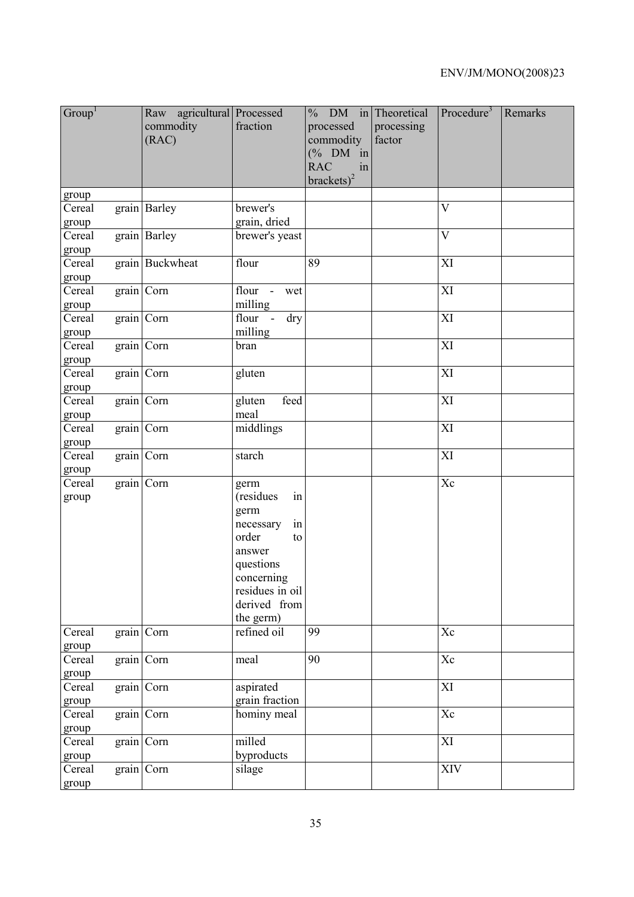| Group <sup>1</sup> |            | Raw agricultural Processed<br>commodity<br>(RAC) | fraction                 | $\frac{0}{0}$<br>processed<br>commodity<br>$(% \mathcal{O}_{0}\cap \mathcal{O}_{1})$ (% DM in<br><b>RAC</b><br>in<br>$brackets)^2$ | DM in Theoretical<br>processing<br>factor | Procedure <sup>3</sup> | Remarks |
|--------------------|------------|--------------------------------------------------|--------------------------|------------------------------------------------------------------------------------------------------------------------------------|-------------------------------------------|------------------------|---------|
| group              |            |                                                  |                          |                                                                                                                                    |                                           |                        |         |
| Cereal             |            | grain Barley                                     | brewer's                 |                                                                                                                                    |                                           | $\overline{V}$         |         |
| group              |            |                                                  | grain, dried             |                                                                                                                                    |                                           |                        |         |
| Cereal             |            | grain Barley                                     | brewer's yeast           |                                                                                                                                    |                                           | $\overline{\rm V}$     |         |
| group<br>Cereal    |            | grain Buckwheat                                  | flour                    | 89                                                                                                                                 |                                           | XI                     |         |
| group              |            |                                                  |                          |                                                                                                                                    |                                           |                        |         |
| Cereal             | grain Corn |                                                  | flour -<br>wet           |                                                                                                                                    |                                           | XI                     |         |
| group              |            |                                                  | milling                  |                                                                                                                                    |                                           |                        |         |
| Cereal             |            | grain Corn                                       | flour -<br>dry           |                                                                                                                                    |                                           | XI                     |         |
| group              |            |                                                  | milling                  |                                                                                                                                    |                                           |                        |         |
| Cereal             |            | grain Corn                                       | bran                     |                                                                                                                                    |                                           | XI                     |         |
| group              |            |                                                  |                          |                                                                                                                                    |                                           |                        |         |
| Cereal             | grain Corn |                                                  | gluten                   |                                                                                                                                    |                                           | XI                     |         |
| group              |            |                                                  |                          |                                                                                                                                    |                                           |                        |         |
| Cereal             | grain Corn |                                                  | feed<br>gluten           |                                                                                                                                    |                                           | XI                     |         |
| group              |            |                                                  | meal                     |                                                                                                                                    |                                           |                        |         |
| Cereal             |            | grain Corn                                       | middlings                |                                                                                                                                    |                                           | XI                     |         |
| group<br>Cereal    | grain Corn |                                                  | starch                   |                                                                                                                                    |                                           | XI                     |         |
| group              |            |                                                  |                          |                                                                                                                                    |                                           |                        |         |
| Cereal             | grain Corn |                                                  | germ                     |                                                                                                                                    |                                           | Xc                     |         |
| group              |            |                                                  | (residues<br>in          |                                                                                                                                    |                                           |                        |         |
|                    |            |                                                  | germ                     |                                                                                                                                    |                                           |                        |         |
|                    |            |                                                  | necessary<br>in          |                                                                                                                                    |                                           |                        |         |
|                    |            |                                                  | order<br>to              |                                                                                                                                    |                                           |                        |         |
|                    |            |                                                  | answer                   |                                                                                                                                    |                                           |                        |         |
|                    |            |                                                  | questions                |                                                                                                                                    |                                           |                        |         |
|                    |            |                                                  | concerning               |                                                                                                                                    |                                           |                        |         |
|                    |            |                                                  | residues in oil          |                                                                                                                                    |                                           |                        |         |
|                    |            |                                                  | derived from             |                                                                                                                                    |                                           |                        |         |
| Cereal             |            | grain Corn                                       | the germ)<br>refined oil | 99                                                                                                                                 |                                           | Xc                     |         |
| group              |            |                                                  |                          |                                                                                                                                    |                                           |                        |         |
| Cereal             |            | grain Corn                                       | meal                     | 90                                                                                                                                 |                                           | Xc                     |         |
| group              |            |                                                  |                          |                                                                                                                                    |                                           |                        |         |
| Cereal             | grain Corn |                                                  | aspirated                |                                                                                                                                    |                                           | XI                     |         |
| group              |            |                                                  | grain fraction           |                                                                                                                                    |                                           |                        |         |
| Cereal             |            | grain Corn                                       | hominy meal              |                                                                                                                                    |                                           | $\overline{\text{Xc}}$ |         |
| group              |            |                                                  |                          |                                                                                                                                    |                                           |                        |         |
| Cereal             |            | grain Corn                                       | milled                   |                                                                                                                                    |                                           | XI                     |         |
| group              |            |                                                  | byproducts               |                                                                                                                                    |                                           |                        |         |
| Cereal             |            | grain Corn                                       | silage                   |                                                                                                                                    |                                           | XIV                    |         |
| group              |            |                                                  |                          |                                                                                                                                    |                                           |                        |         |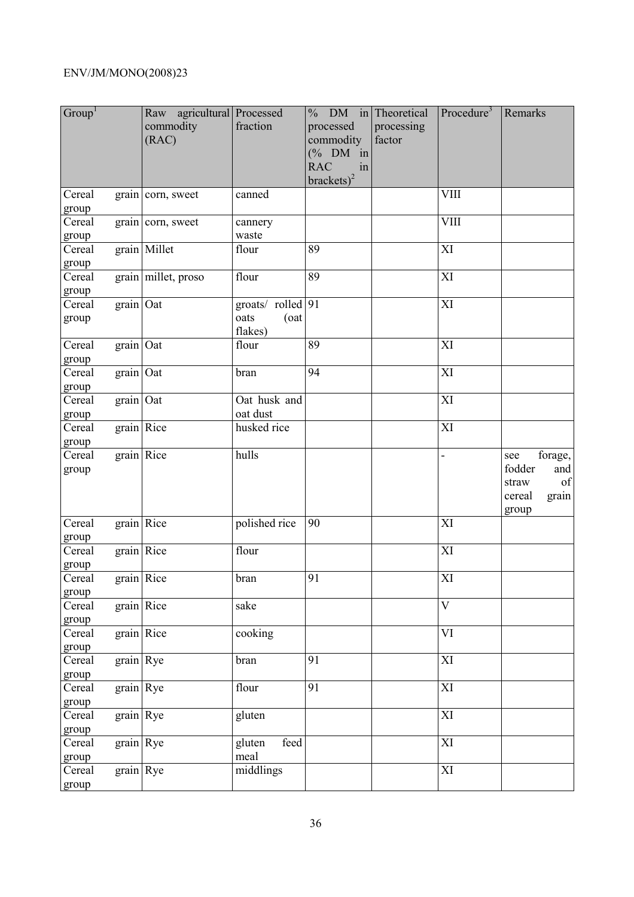| Group <sup>1</sup> |              | Raw agricultural Processed<br>commodity<br>(RAC) | fraction                                     | $%$ DM in Theoretical<br>processed<br>commodity<br>$(% \mathcal{O}_{0}\cap \mathcal{O}_{1})$ (% DM in<br><b>RAC</b><br>in<br>brackets) $^{2}$ | processing<br>factor | Procedure <sup>3</sup> | Remarks                                                                    |
|--------------------|--------------|--------------------------------------------------|----------------------------------------------|-----------------------------------------------------------------------------------------------------------------------------------------------|----------------------|------------------------|----------------------------------------------------------------------------|
| Cereal<br>group    |              | grain corn, sweet                                | canned                                       |                                                                                                                                               |                      | <b>VIII</b>            |                                                                            |
| Cereal<br>group    |              | grain corn, sweet                                | cannery<br>waste                             |                                                                                                                                               |                      | <b>VIII</b>            |                                                                            |
| Cereal<br>group    |              | grain Millet                                     | flour                                        | 89                                                                                                                                            |                      | XI                     |                                                                            |
| Cereal<br>group    |              | grain millet, proso                              | flour                                        | 89                                                                                                                                            |                      | XI                     |                                                                            |
| Cereal<br>group    | grain Oat    |                                                  | groats/ rolled 91<br>oats<br>(oat<br>flakes) |                                                                                                                                               |                      | XI                     |                                                                            |
| Cereal<br>group    | grain Oat    |                                                  | flour                                        | 89                                                                                                                                            |                      | XI                     |                                                                            |
| Cereal<br>group    | $grain$ Oat  |                                                  | bran                                         | 94                                                                                                                                            |                      | XI                     |                                                                            |
| Cereal<br>group    | $grain$ Oat  |                                                  | Oat husk and<br>oat dust                     |                                                                                                                                               |                      | XI                     |                                                                            |
| Cereal<br>group    | grain   Rice |                                                  | husked rice                                  |                                                                                                                                               |                      | XI                     |                                                                            |
| Cereal<br>group    | grain   Rice |                                                  | hulls                                        |                                                                                                                                               |                      | ÷,                     | forage,<br>see<br>fodder<br>and<br>of<br>straw<br>cereal<br>grain<br>group |
| Cereal<br>group    | grain Rice   |                                                  | polished rice                                | 90                                                                                                                                            |                      | XI                     |                                                                            |
| Cereal<br>group    | $grain$ Rice |                                                  | flour                                        |                                                                                                                                               |                      | XI                     |                                                                            |
| Cereal<br>group    | $grain$ Rice |                                                  | bran                                         | 91                                                                                                                                            |                      | XI                     |                                                                            |
| Cereal<br>group    | grain   Rice |                                                  | sake                                         |                                                                                                                                               |                      | $\bar{V}$              |                                                                            |
| Cereal<br>group    | grain Rice   |                                                  | cooking                                      |                                                                                                                                               |                      | $\overline{\text{VI}}$ |                                                                            |
| Cereal<br>group    | grain Rye    |                                                  | bran                                         | 91                                                                                                                                            |                      | XI                     |                                                                            |
| Cereal<br>group    | grain Rye    |                                                  | flour                                        | 91                                                                                                                                            |                      | XI                     |                                                                            |
| Cereal<br>group    | grain Rye    |                                                  | gluten                                       |                                                                                                                                               |                      | XI                     |                                                                            |
| Cereal<br>group    | grain Rye    |                                                  | feed<br>gluten<br>meal                       |                                                                                                                                               |                      | XI                     |                                                                            |
| Cereal<br>group    | $grain$ Rye  |                                                  | middlings                                    |                                                                                                                                               |                      | XI                     |                                                                            |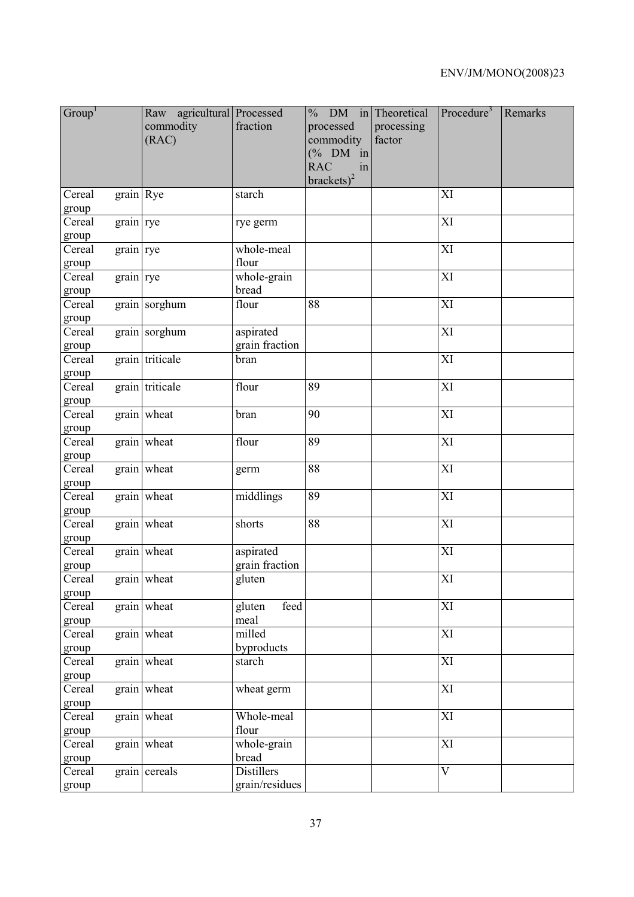| Group <sup>1</sup> |           | Raw agricultural Processed<br>commodity<br>(RAC) | fraction                            | $\frac{0}{0}$<br>processed<br>commodity<br>$(\%$ DM in<br><b>RAC</b><br>in<br>$brackets)^2$ | DM in Theoretical<br>processing<br>factor | Procedure <sup>3</sup> | Remarks |
|--------------------|-----------|--------------------------------------------------|-------------------------------------|---------------------------------------------------------------------------------------------|-------------------------------------------|------------------------|---------|
| Cereal<br>group    | grain Rye |                                                  | starch                              |                                                                                             |                                           | XI                     |         |
| Cereal<br>group    | grain rye |                                                  | rye germ                            |                                                                                             |                                           | XI                     |         |
| Cereal<br>group    | grain rye |                                                  | whole-meal<br>flour                 |                                                                                             |                                           | XI                     |         |
| Cereal<br>group    | grain rye |                                                  | whole-grain<br>bread                |                                                                                             |                                           | XI                     |         |
| Cereal<br>group    |           | grain sorghum                                    | flour                               | 88                                                                                          |                                           | XI                     |         |
| Cereal<br>group    |           | grain sorghum                                    | aspirated<br>grain fraction         |                                                                                             |                                           | XI                     |         |
| Cereal<br>group    |           | grain triticale                                  | bran                                |                                                                                             |                                           | XI                     |         |
| Cereal<br>group    |           | grain triticale                                  | flour                               | 89                                                                                          |                                           | XI                     |         |
| Cereal<br>group    |           | grain wheat                                      | bran                                | 90                                                                                          |                                           | XI                     |         |
| Cereal<br>group    |           | grain wheat                                      | flour                               | 89                                                                                          |                                           | XI                     |         |
| Cereal<br>group    |           | grain wheat                                      | germ                                | 88                                                                                          |                                           | XI                     |         |
| Cereal<br>group    |           | grain wheat                                      | middlings                           | 89                                                                                          |                                           | XI                     |         |
| Cereal<br>group    |           | grain wheat                                      | shorts                              | 88                                                                                          |                                           | XI                     |         |
| Cereal<br>group    |           | grain wheat                                      | aspirated<br>grain fraction         |                                                                                             |                                           | XI                     |         |
| Cereal<br>group    |           | grain wheat                                      | gluten                              |                                                                                             |                                           | XI                     |         |
| Cereal<br>group    |           | grain wheat                                      | feed<br>gluten<br>meal              |                                                                                             |                                           | XI                     |         |
| Cereal<br>group    |           | $grain$ wheat                                    | milled<br>byproducts                |                                                                                             |                                           | XI                     |         |
| Cereal<br>group    |           | grain wheat                                      | starch                              |                                                                                             |                                           | XI                     |         |
| Cereal<br>group    |           | grain wheat                                      | wheat germ                          |                                                                                             |                                           | XI                     |         |
| Cereal<br>group    |           | $grain$ wheat                                    | Whole-meal<br>flour                 |                                                                                             |                                           | XI                     |         |
| Cereal<br>group    |           | grain wheat                                      | whole-grain<br>bread                |                                                                                             |                                           | XI                     |         |
| Cereal<br>group    |           | grain cereals                                    | <b>Distillers</b><br>grain/residues |                                                                                             |                                           | $\overline{V}$         |         |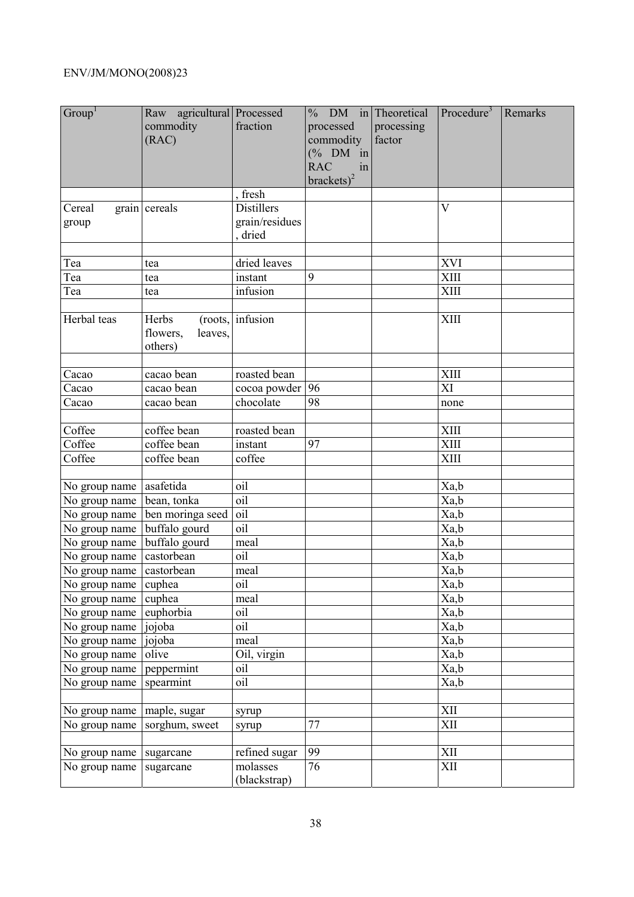| Group <sup>1</sup> | Raw agricultural Processed<br>commodity<br>(RAC) | fraction                 | $\%$ DM in Theoretical<br>processed<br>commodity<br>$(% \mathcal{O}_{0}\cap \mathcal{O}_{1})$ (% DM in<br><b>RAC</b><br>in | processing<br>factor | Procedure <sup>3</sup>  | Remarks |
|--------------------|--------------------------------------------------|--------------------------|----------------------------------------------------------------------------------------------------------------------------|----------------------|-------------------------|---------|
|                    |                                                  |                          | brackets) <sup>2</sup>                                                                                                     |                      |                         |         |
|                    |                                                  | fresh                    |                                                                                                                            |                      |                         |         |
| Cereal             | grain cereals                                    | <b>Distillers</b>        |                                                                                                                            |                      | $\overline{\mathsf{V}}$ |         |
| group              |                                                  | grain/residues<br>dried  |                                                                                                                            |                      |                         |         |
|                    |                                                  |                          |                                                                                                                            |                      |                         |         |
| Tea                | tea                                              | dried leaves             |                                                                                                                            |                      | <b>XVI</b>              |         |
| Tea                | tea                                              | instant                  | 9                                                                                                                          |                      | <b>XIII</b>             |         |
| Tea                | tea                                              | infusion                 |                                                                                                                            |                      | <b>XIII</b>             |         |
| Herbal teas        | Herbs<br>flowers,<br>leaves,<br>others)          | (roots,  infusion        |                                                                                                                            |                      | <b>XIII</b>             |         |
|                    |                                                  |                          |                                                                                                                            |                      |                         |         |
| Cacao              | cacao bean                                       | roasted bean             |                                                                                                                            |                      | <b>XIII</b>             |         |
| Cacao              | cacao bean                                       | cocoa powder             | 96                                                                                                                         |                      | XI                      |         |
| Cacao              | cacao bean                                       | chocolate                | 98                                                                                                                         |                      | none                    |         |
| Coffee             | coffee bean                                      | roasted bean             |                                                                                                                            |                      | $\overline{X}$ III      |         |
| Coffee             | coffee bean                                      | instant                  | 97                                                                                                                         |                      | <b>XIII</b>             |         |
| Coffee             | coffee bean                                      | coffee                   |                                                                                                                            |                      | XIII                    |         |
|                    |                                                  |                          |                                                                                                                            |                      |                         |         |
| No group name      | asafetida                                        | oil                      |                                                                                                                            |                      | Xa,b                    |         |
| No group name      | bean, tonka                                      | $\overline{oil}$         |                                                                                                                            |                      | Xa,b                    |         |
| No group name      | ben moringa seed                                 | oil                      |                                                                                                                            |                      | Xa,b                    |         |
| No group name      | buffalo gourd                                    | oil                      |                                                                                                                            |                      | Xa,b                    |         |
| No group name      | buffalo gourd                                    | meal                     |                                                                                                                            |                      | Xa,b                    |         |
| No group name      | castorbean                                       | oil                      |                                                                                                                            |                      | Xa,b                    |         |
| No group name      | castorbean                                       | meal                     |                                                                                                                            |                      | Xa,b                    |         |
| No group name      | cuphea                                           | oil                      |                                                                                                                            |                      | Xa,b                    |         |
| No group name      | cuphea                                           | meal                     |                                                                                                                            |                      | Xa,b                    |         |
| No group name      | euphorbia                                        | oil                      |                                                                                                                            |                      | Xa,b                    |         |
| No group name      | jojoba                                           | oil                      |                                                                                                                            |                      | Xa,b                    |         |
| No group name      | jojoba                                           | meal                     |                                                                                                                            |                      | Xa,b                    |         |
| No group name      | olive                                            | Oil, virgin              |                                                                                                                            |                      | Xa,b                    |         |
| No group name      | peppermint                                       | oil                      |                                                                                                                            |                      | Xa,b                    |         |
| No group name      | spearmint                                        | oil                      |                                                                                                                            |                      | Xa,b                    |         |
|                    |                                                  |                          |                                                                                                                            |                      |                         |         |
| No group name      | maple, sugar                                     | syrup                    |                                                                                                                            |                      | XII                     |         |
| No group name      | sorghum, sweet                                   | syrup                    | 77                                                                                                                         |                      | XII                     |         |
|                    |                                                  |                          |                                                                                                                            |                      |                         |         |
| No group name      | sugarcane                                        | refined sugar            | 99                                                                                                                         |                      | XII                     |         |
| No group name      | sugarcane                                        | molasses<br>(blackstrap) | 76                                                                                                                         |                      | XII                     |         |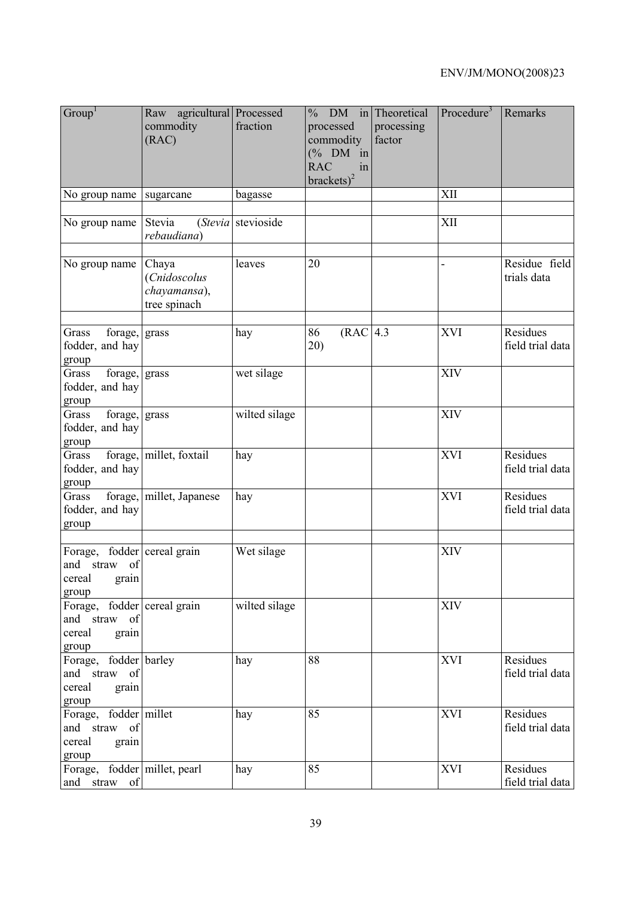| Group <sup>1</sup>                                                         | Raw agricultural Processed<br>commodity<br>(RAC)      | fraction           | DM<br>in<br>$\frac{0}{0}$<br>processed<br>commodity<br>$(% \mathcal{O}_{0}\cap \mathcal{O}_{1})$ (% DM in<br><b>RAC</b><br>in<br>brackets) <sup>2</sup> | Theoretical<br>processing<br>factor | Procedure <sup>3</sup>   | Remarks                      |
|----------------------------------------------------------------------------|-------------------------------------------------------|--------------------|---------------------------------------------------------------------------------------------------------------------------------------------------------|-------------------------------------|--------------------------|------------------------------|
| No group name                                                              | sugarcane                                             | bagasse            |                                                                                                                                                         |                                     | XII                      |                              |
| No group name                                                              | Stevia<br>rebaudiana)                                 | (Stevia stevioside |                                                                                                                                                         |                                     | XII                      |                              |
| No group name                                                              | Chaya<br>(Cnidoscolus<br>chayamansa),<br>tree spinach | leaves             | 20                                                                                                                                                      |                                     | $\overline{\phantom{0}}$ | Residue field<br>trials data |
| Grass<br>forage,<br>fodder, and hay<br>group                               | grass                                                 | hay                | (RAC 4.3<br>86<br>20)                                                                                                                                   |                                     | XVI                      | Residues<br>field trial data |
| forage,<br>Grass<br>fodder, and hay<br>group                               | grass                                                 | wet silage         |                                                                                                                                                         |                                     | <b>XIV</b>               |                              |
| forage, grass<br>Grass<br>fodder, and hay<br>group                         |                                                       | wilted silage      |                                                                                                                                                         |                                     | XIV                      |                              |
| Grass<br>fodder, and hay<br>group                                          | forage, millet, foxtail                               | hay                |                                                                                                                                                         |                                     | <b>XVI</b>               | Residues<br>field trial data |
| Grass<br>fodder, and hay<br>group                                          | forage, millet, Japanese                              | hay                |                                                                                                                                                         |                                     | XVI                      | Residues<br>field trial data |
| Forage, fodder cereal grain<br>straw of<br>and<br>cereal<br>grain<br>group |                                                       | Wet silage         |                                                                                                                                                         |                                     | <b>XIV</b>               |                              |
| Forage, fodder cereal grain<br>and straw of<br>cereal<br>grain<br>group    |                                                       | wilted silage      |                                                                                                                                                         |                                     | <b>XIV</b>               |                              |
| Forage, fodder barley<br>and straw of<br>cereal<br>grain<br>group          |                                                       | hay                | 88                                                                                                                                                      |                                     | XVI                      | Residues<br>field trial data |
| Forage, fodder millet<br>and straw of<br>cereal<br>grain<br>group          |                                                       | hay                | 85                                                                                                                                                      |                                     | <b>XVI</b>               | Residues<br>field trial data |
| Forage, fodder millet, pearl<br>and straw of                               |                                                       | hay                | 85                                                                                                                                                      |                                     | <b>XVI</b>               | Residues<br>field trial data |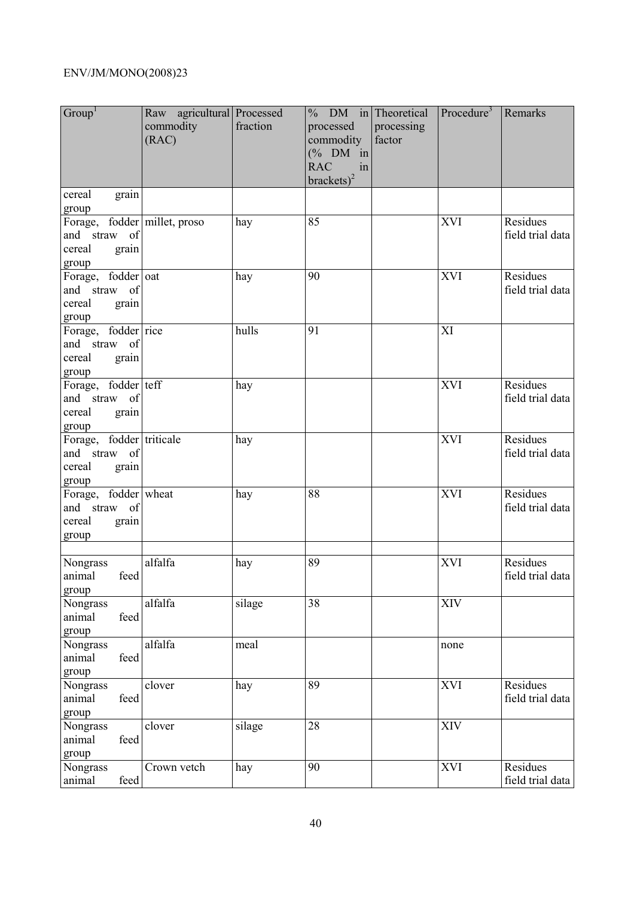| Group <sup>1</sup>                                                       | Raw agricultural Processed<br>commodity<br>(RAC) | fraction | $%$ DM in Theoretical<br>processed<br>commodity<br>$(% \mathcal{O}_{0}\cap \mathcal{O}_{1})$ (% DM in<br><b>RAC</b><br>in<br>brackets) <sup>2</sup> | processing<br>factor | Procedure <sup>3</sup> | Remarks                      |
|--------------------------------------------------------------------------|--------------------------------------------------|----------|-----------------------------------------------------------------------------------------------------------------------------------------------------|----------------------|------------------------|------------------------------|
| cereal<br>grain<br>group                                                 |                                                  |          |                                                                                                                                                     |                      |                        |                              |
| Forage, fodder millet, proso<br>and straw of<br>cereal<br>grain<br>group |                                                  | hay      | 85                                                                                                                                                  |                      | <b>XVI</b>             | Residues<br>field trial data |
| Forage, fodder oat<br>and straw of<br>cereal<br>grain<br>group           |                                                  | hay      | 90                                                                                                                                                  |                      | <b>XVI</b>             | Residues<br>field trial data |
| Forage, fodder rice<br>and straw of<br>cereal<br>grain<br>group          |                                                  | hulls    | 91                                                                                                                                                  |                      | XI                     |                              |
| Forage, fodder teff<br>and straw of<br>cereal<br>grain<br>group          |                                                  | hay      |                                                                                                                                                     |                      | XVI                    | Residues<br>field trial data |
| Forage, fodder triticale<br>and straw of<br>cereal<br>grain<br>group     |                                                  | hay      |                                                                                                                                                     |                      | XVI                    | Residues<br>field trial data |
| Forage, fodder wheat<br>and straw of<br>cereal<br>grain<br>group         |                                                  | hay      | 88                                                                                                                                                  |                      | XVI                    | Residues<br>field trial data |
| Nongrass<br>feed<br>animal<br>group                                      | alfalfa                                          | hay      | 89                                                                                                                                                  |                      | <b>XVI</b>             | Residues<br>field trial data |
| Nongrass<br>feed<br>animal<br>group                                      | alfalfa                                          | silage   | 38                                                                                                                                                  |                      | <b>XIV</b>             |                              |
| Nongrass<br>feed<br>animal<br>group                                      | alfalfa                                          | meal     |                                                                                                                                                     |                      | none                   |                              |
| Nongrass<br>feed<br>animal<br>group                                      | clover                                           | hay      | 89                                                                                                                                                  |                      | <b>XVI</b>             | Residues<br>field trial data |
| Nongrass<br>feed<br>animal<br>group                                      | clover                                           | silage   | 28                                                                                                                                                  |                      | XIV                    |                              |
| Nongrass<br>feed<br>animal                                               | Crown vetch                                      | hay      | 90                                                                                                                                                  |                      | <b>XVI</b>             | Residues<br>field trial data |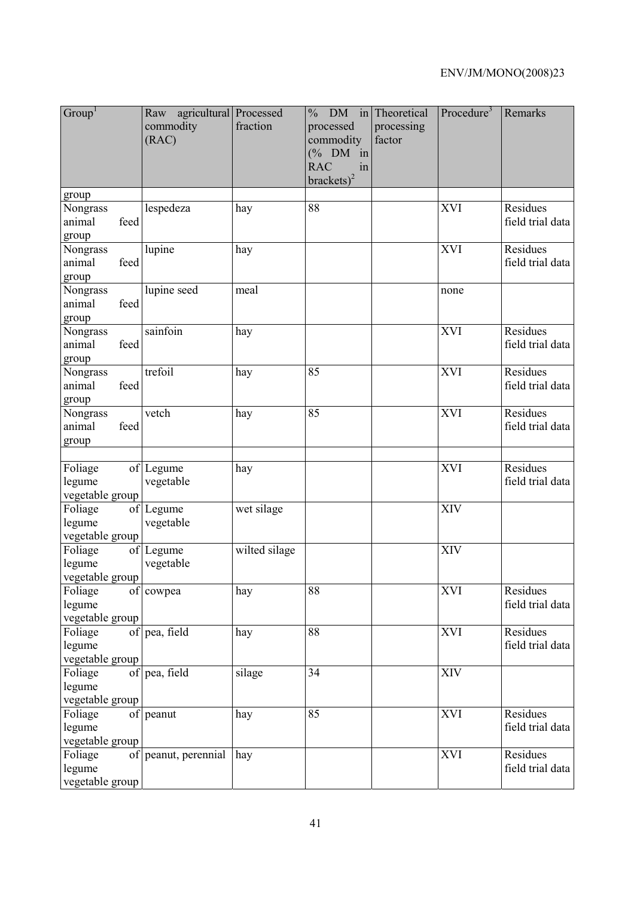| Group <sup>1</sup>                   | Raw agricultural Processed<br>commodity<br>(RAC) | fraction      | DM<br>in<br>$\frac{0}{0}$<br>processed<br>commodity<br>$(\%$ DM in<br><b>RAC</b><br>in<br>brackets) <sup>2</sup> | Theoretical<br>processing<br>factor | Procedure <sup>3</sup> | Remarks                      |
|--------------------------------------|--------------------------------------------------|---------------|------------------------------------------------------------------------------------------------------------------|-------------------------------------|------------------------|------------------------------|
| group                                |                                                  |               |                                                                                                                  |                                     |                        |                              |
| Nongrass<br>feed<br>animal<br>group  | lespedeza                                        | hay           | 88                                                                                                               |                                     | <b>XVI</b>             | Residues<br>field trial data |
| Nongrass<br>animal<br>feed<br>group  | lupine                                           | hay           |                                                                                                                  |                                     | <b>XVI</b>             | Residues<br>field trial data |
| Nongrass<br>feed<br>animal<br>group  | lupine seed                                      | meal          |                                                                                                                  |                                     | none                   |                              |
| Nongrass<br>feed<br>animal<br>group  | sainfoin                                         | hay           |                                                                                                                  |                                     | <b>XVI</b>             | Residues<br>field trial data |
| Nongrass<br>animal<br>feed<br>group  | trefoil                                          | hay           | 85                                                                                                               |                                     | <b>XVI</b>             | Residues<br>field trial data |
| Nongrass<br>animal<br>feed<br>group  | vetch                                            | hay           | 85                                                                                                               |                                     | <b>XVI</b>             | Residues<br>field trial data |
| Foliage<br>legume<br>vegetable group | of Legume<br>vegetable                           | hay           |                                                                                                                  |                                     | XVI                    | Residues<br>field trial data |
| Foliage<br>legume<br>vegetable group | of Legume<br>vegetable                           | wet silage    |                                                                                                                  |                                     | XIV                    |                              |
| Foliage<br>legume<br>vegetable group | of Legume<br>vegetable                           | wilted silage |                                                                                                                  |                                     | <b>XIV</b>             |                              |
| Foliage<br>legume<br>vegetable group | of cowpea                                        | hay           | 88                                                                                                               |                                     | <b>XVI</b>             | Residues<br>field trial data |
| Foliage<br>legume<br>vegetable group | of pea, field                                    | hay           | 88                                                                                                               |                                     | <b>XVI</b>             | Residues<br>field trial data |
| Foliage<br>legume<br>vegetable group | of pea, field                                    | silage        | 34                                                                                                               |                                     | <b>XIV</b>             |                              |
| Foliage<br>legume<br>vegetable group | of peanut                                        | hay           | 85                                                                                                               |                                     | <b>XVI</b>             | Residues<br>field trial data |
| Foliage<br>legume<br>vegetable group | of peanut, perennial                             | hay           |                                                                                                                  |                                     | <b>XVI</b>             | Residues<br>field trial data |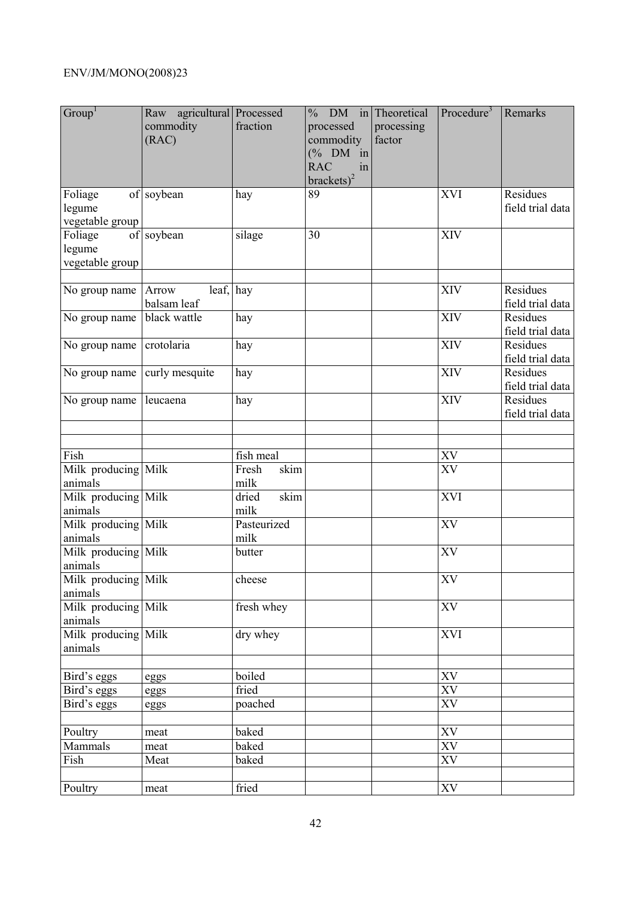| Group <sup>1</sup>                   | Raw agricultural Processed<br>commodity<br>(RAC) | fraction              | $%$ DM in Theoretical<br>processed<br>commodity<br>$(\%$ DM in<br><b>RAC</b><br>in<br>brackets) <sup>2</sup> | processing<br>factor | Procedure <sup>3</sup> | Remarks                      |
|--------------------------------------|--------------------------------------------------|-----------------------|--------------------------------------------------------------------------------------------------------------|----------------------|------------------------|------------------------------|
| Foliage<br>legume<br>vegetable group | of soybean                                       | hay                   | 89                                                                                                           |                      | <b>XVI</b>             | Residues<br>field trial data |
| Foliage<br>legume<br>vegetable group | of soybean                                       | silage                | 30                                                                                                           |                      | XIV                    |                              |
| No group name                        | leaf, hay<br>Arrow<br>balsam leaf                |                       |                                                                                                              |                      | <b>XIV</b>             | Residues<br>field trial data |
| No group name                        | black wattle                                     | hay                   |                                                                                                              |                      | XIV                    | Residues<br>field trial data |
| No group name                        | crotolaria                                       | hay                   |                                                                                                              |                      | XIV                    | Residues<br>field trial data |
| No group name                        | curly mesquite                                   | hay                   |                                                                                                              |                      | XIV                    | Residues<br>field trial data |
| No group name                        | leucaena                                         | hay                   |                                                                                                              |                      | <b>XIV</b>             | Residues<br>field trial data |
|                                      |                                                  |                       |                                                                                                              |                      |                        |                              |
| Fish                                 |                                                  | fish meal             |                                                                                                              |                      | XV                     |                              |
| Milk producing Milk<br>animals       |                                                  | Fresh<br>skim<br>milk |                                                                                                              |                      | XV                     |                              |
| Milk producing Milk<br>animals       |                                                  | skim<br>dried<br>milk |                                                                                                              |                      | XVI                    |                              |
| Milk producing Milk<br>animals       |                                                  | Pasteurized<br>milk   |                                                                                                              |                      | $\overline{XV}$        |                              |
| Milk producing Milk<br>animals       |                                                  | butter                |                                                                                                              |                      | XV                     |                              |
| Milk producing Milk<br>animals       |                                                  | cheese                |                                                                                                              |                      | XV                     |                              |
| Milk producing Milk<br>animals       |                                                  | fresh whey            |                                                                                                              |                      | XV                     |                              |
| Milk producing Milk<br>animals       |                                                  | dry whey              |                                                                                                              |                      | XVI                    |                              |
| Bird's eggs                          |                                                  | boiled                |                                                                                                              |                      | ${\rm XV}$             |                              |
| Bird's eggs                          | eggs<br>eggs                                     | fried                 |                                                                                                              |                      | $\overline{XV}$        |                              |
| Bird's eggs                          | eggs                                             | poached               |                                                                                                              |                      | ${\it XV}$             |                              |
|                                      |                                                  |                       |                                                                                                              |                      |                        |                              |
| Poultry                              | meat                                             | baked                 |                                                                                                              |                      | XV                     |                              |
| Mammals                              | meat                                             | baked                 |                                                                                                              |                      | XV                     |                              |
| Fish                                 | Meat                                             | baked                 |                                                                                                              |                      | XV                     |                              |
|                                      |                                                  |                       |                                                                                                              |                      |                        |                              |
| Poultry                              | meat                                             | fried                 |                                                                                                              |                      | <b>XV</b>              |                              |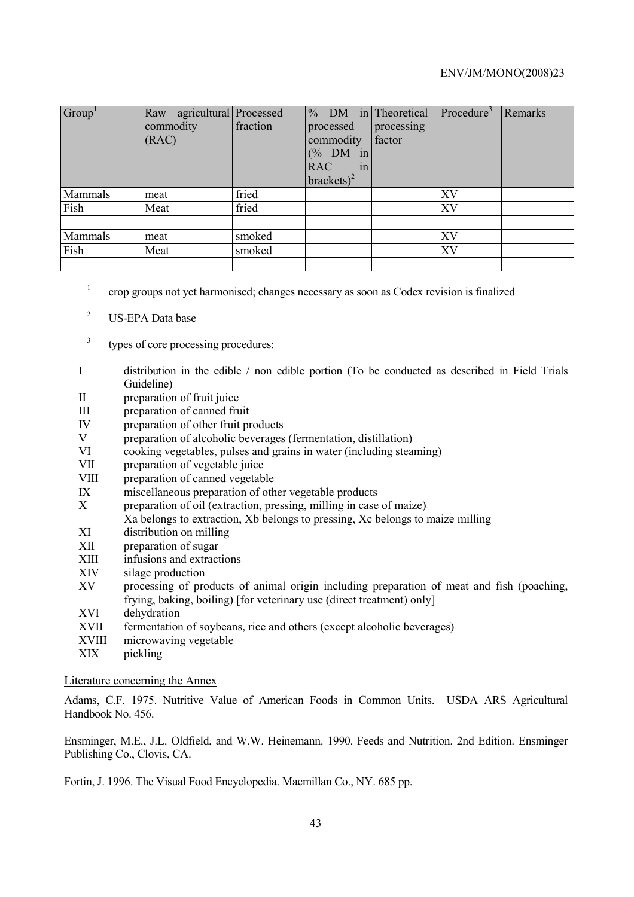| Group   | Raw agricultural Processed<br>commodity<br>(RAC) | fraction | $%$ DM in Theoretical<br>processed<br>commodity<br>$(\%$ DM in<br><b>RAC</b><br>in<br>brackets) <sup>2</sup> | processing<br>factor | Procedure <sup>3</sup> | Remarks |
|---------|--------------------------------------------------|----------|--------------------------------------------------------------------------------------------------------------|----------------------|------------------------|---------|
| Mammals | meat                                             | fried    |                                                                                                              |                      | XV                     |         |
| Fish    | Meat                                             | fried    |                                                                                                              |                      | XV                     |         |
|         |                                                  |          |                                                                                                              |                      |                        |         |
| Mammals | meat                                             | smoked   |                                                                                                              |                      | XV                     |         |
| Fish    | Meat                                             | smoked   |                                                                                                              |                      | XV                     |         |
|         |                                                  |          |                                                                                                              |                      |                        |         |

- 1 crop groups not yet harmonised; changes necessary as soon as Codex revision is finalized
- 2 US-EPA Data base
- 3 types of core processing procedures:
- I distribution in the edible / non edible portion (To be conducted as described in Field Trials Guideline)
- II preparation of fruit juice
- III preparation of canned fruit
- IV preparation of other fruit products<br>V preparation of alcoholic heverages
- V preparation of alcoholic beverages (fermentation, distillation)<br>VI cooking vegetables pulses and grains in water (including steal
- cooking vegetables, pulses and grains in water (including steaming)
- VII preparation of vegetable juice
- VIII preparation of canned vegetable
- IX miscellaneous preparation of other vegetable products
- X preparation of oil (extraction, pressing, milling in case of maize)
- Xa belongs to extraction, Xb belongs to pressing, Xc belongs to maize milling
- XI distribution on milling
- XII preparation of sugar
- XIII infusions and extractions
- XIV silage production
- XV processing of products of animal origin including preparation of meat and fish (poaching, frying, baking, boiling) [for veterinary use (direct treatment) only]
- XVI dehydration
- XVII fermentation of soybeans, rice and others (except alcoholic beverages)
- XVIII microwaving vegetable
- XIX pickling

#### Literature concerning the Annex

Adams, C.F. 1975. Nutritive Value of American Foods in Common Units. USDA ARS Agricultural Handbook No. 456.

Ensminger, M.E., J.L. Oldfield, and W.W. Heinemann. 1990. Feeds and Nutrition. 2nd Edition. Ensminger Publishing Co., Clovis, CA.

Fortin, J. 1996. The Visual Food Encyclopedia. Macmillan Co., NY. 685 pp.